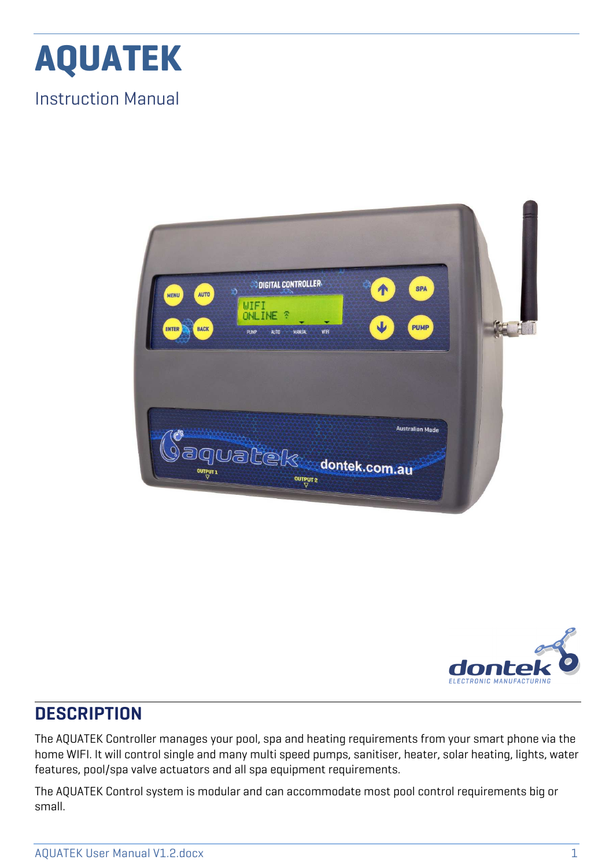

Instruction Manual





### **DESCRIPTION**

The AQUATEK Controller manages your pool, spa and heating requirements from your smart phone via the home WIFI. It will control single and many multi speed pumps, sanitiser, heater, solar heating, lights, water features, pool/spa valve actuators and all spa equipment requirements.

The AQUATEK Control system is modular and can accommodate most pool control requirements big or small.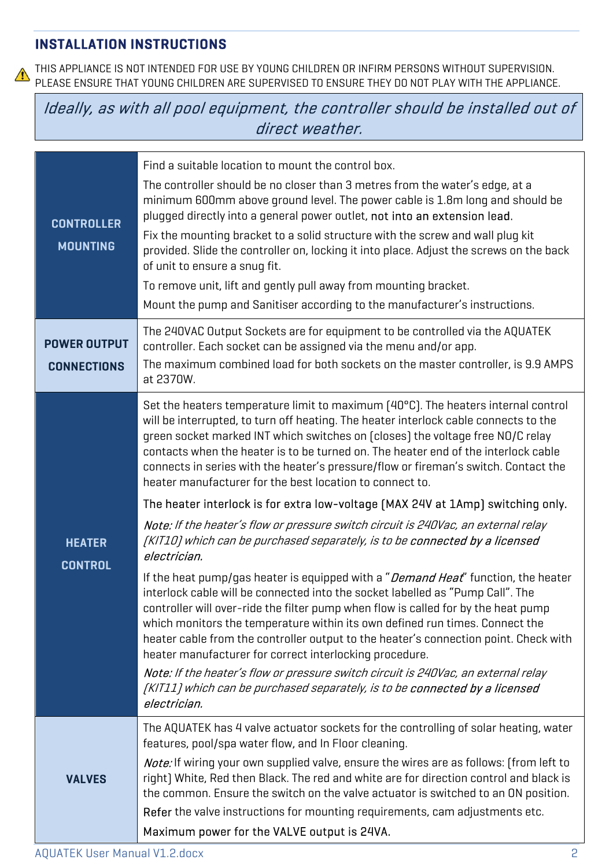#### **INSTALLATION INSTRUCTIONS**

THIS APPLIANCE IS NOT INTENDED FOR USE BY YOUNG CHILDREN OR INFIRM PERSONS WITHOUT SUPERVISION.  $\bigwedge$ PLEASE ENSURE THAT YOUNG CHILDREN ARE SUPERVISED TO ENSURE THEY DO NOT PLAY WITH THE APPLIANCE.

Ideally, as with all pool equipment, the controller should be installed out of direct weather.

| <b>CONTROLLER</b><br><b>MOUNTING</b>      | Find a suitable location to mount the control box.<br>The controller should be no closer than 3 metres from the water's edge, at a<br>minimum 600mm above ground level. The power cable is 1.8m long and should be<br>plugged directly into a general power outlet, not into an extension lead.<br>Fix the mounting bracket to a solid structure with the screw and wall plug kit<br>provided. Slide the controller on, locking it into place. Adjust the screws on the back<br>of unit to ensure a snug fit.<br>To remove unit, lift and gently pull away from mounting bracket.<br>Mount the pump and Sanitiser according to the manufacturer's instructions.                                                                                                                                                                                                                                                                                                                                                                                                                                                                                                                                                                                                                                                                                                                                                                                                                 |
|-------------------------------------------|---------------------------------------------------------------------------------------------------------------------------------------------------------------------------------------------------------------------------------------------------------------------------------------------------------------------------------------------------------------------------------------------------------------------------------------------------------------------------------------------------------------------------------------------------------------------------------------------------------------------------------------------------------------------------------------------------------------------------------------------------------------------------------------------------------------------------------------------------------------------------------------------------------------------------------------------------------------------------------------------------------------------------------------------------------------------------------------------------------------------------------------------------------------------------------------------------------------------------------------------------------------------------------------------------------------------------------------------------------------------------------------------------------------------------------------------------------------------------------|
| <b>POWER OUTPUT</b><br><b>CONNECTIONS</b> | The 240VAC Output Sockets are for equipment to be controlled via the AQUATEK<br>controller. Each socket can be assigned via the menu and/or app.<br>The maximum combined load for both sockets on the master controller, is 9.9 AMPS<br>at 2370W.                                                                                                                                                                                                                                                                                                                                                                                                                                                                                                                                                                                                                                                                                                                                                                                                                                                                                                                                                                                                                                                                                                                                                                                                                               |
| <b>HEATER</b><br><b>CONTROL</b>           | Set the heaters temperature limit to maximum [40°C]. The heaters internal control<br>will be interrupted, to turn off heating. The heater interlock cable connects to the<br>green socket marked INT which switches on [closes] the voltage free NO/C relay<br>contacts when the heater is to be turned on. The heater end of the interlock cable<br>connects in series with the heater's pressure/flow or fireman's switch. Contact the<br>heater manufacturer for the best location to connect to.<br>The heater interlock is for extra low-voltage (MAX 24V at 1Amp) switching only.<br>Note: If the heater's flow or pressure switch circuit is 240Vac, an external relay<br>[KIT10] which can be purchased separately, is to be <b>connected by a licensed</b><br>electrician.<br>If the heat pump/qas heater is equipped with a "Demand Heat" function, the heater<br>interlock cable will be connected into the socket labelled as "Pump Call". The<br>controller will over-ride the filter pump when flow is called for by the heat pump<br>which monitors the temperature within its own defined run times. Connect the<br>heater cable from the controller output to the heater's connection point. Check with<br>heater manufacturer for correct interlocking procedure.<br>Note: If the heater's flow or pressure switch circuit is 240Vac, an external relay<br>[KIT11] which can be purchased separately, is to be <b>connected by a licensed</b><br>electrician. |
| <b>VALVES</b>                             | The AQUATEK has 4 valve actuator sockets for the controlling of solar heating, water<br>features, pool/spa water flow, and In Floor cleaning.<br><b>Note:</b> If wiring your own supplied valve, ensure the wires are as follows: (from left to<br>right) White, Red then Black. The red and white are for direction control and black is<br>the common. Ensure the switch on the valve actuator is switched to an ON position.<br>Refer the valve instructions for mounting requirements, cam adjustments etc.<br>Maximum power for the VALVE output is 24VA.                                                                                                                                                                                                                                                                                                                                                                                                                                                                                                                                                                                                                                                                                                                                                                                                                                                                                                                  |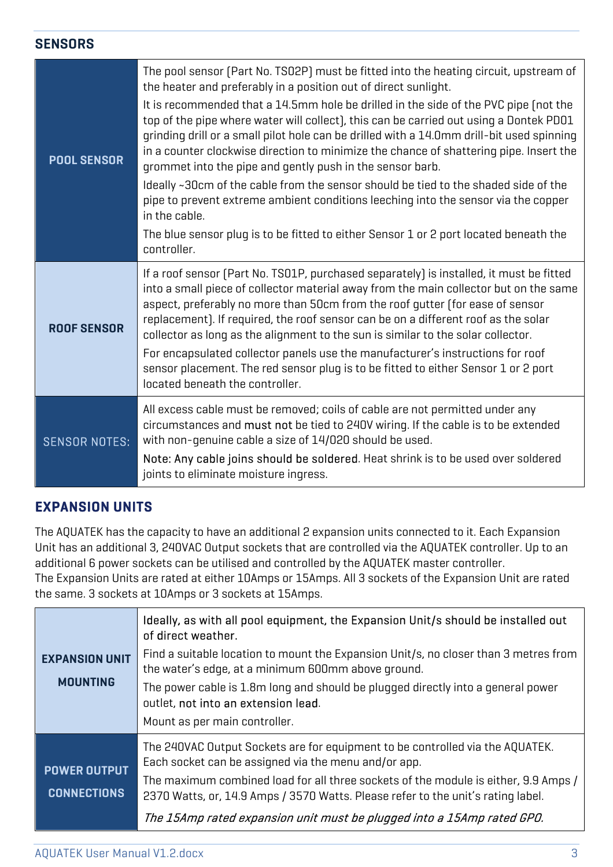#### **SENSORS**

| <b>POOL SENSOR</b>   | The pool sensor (Part No. TSO2P) must be fitted into the heating circuit, upstream of<br>the heater and preferably in a position out of direct sunlight.                                                                                                                                                                                                                                                                                    |
|----------------------|---------------------------------------------------------------------------------------------------------------------------------------------------------------------------------------------------------------------------------------------------------------------------------------------------------------------------------------------------------------------------------------------------------------------------------------------|
|                      | It is recommended that a 14.5mm hole be drilled in the side of the PVC pipe (not the<br>top of the pipe where water will collect), this can be carried out using a Dontek PD01<br>grinding drill or a small pilot hole can be drilled with a 14.0mm drill-bit used spinning<br>in a counter clockwise direction to minimize the chance of shattering pipe. Insert the<br>grommet into the pipe and gently push in the sensor barb.          |
|                      | Ideally ~30cm of the cable from the sensor should be tied to the shaded side of the<br>pipe to prevent extreme ambient conditions leeching into the sensor via the copper<br>in the cable.                                                                                                                                                                                                                                                  |
|                      | The blue sensor plug is to be fitted to either Sensor 1 or 2 port located beneath the<br>controller.                                                                                                                                                                                                                                                                                                                                        |
| <b>ROOF SENSOR</b>   | If a roof sensor (Part No. TSO1P, purchased separately) is installed, it must be fitted<br>into a small piece of collector material away from the main collector but on the same<br>aspect, preferably no more than 50cm from the roof gutter (for ease of sensor<br>replacement). If required, the roof sensor can be on a different roof as the solar<br>collector as long as the alignment to the sun is similar to the solar collector. |
|                      | For encapsulated collector panels use the manufacturer's instructions for roof<br>sensor placement. The red sensor plug is to be fitted to either Sensor 1 or 2 port<br>located beneath the controller.                                                                                                                                                                                                                                     |
| <b>SENSOR NOTES:</b> | All excess cable must be removed; coils of cable are not permitted under any<br>circumstances and must not be tied to 240V wiring. If the cable is to be extended<br>with non-genuine cable a size of 14/020 should be used.                                                                                                                                                                                                                |
|                      | Note: Any cable joins should be soldered. Heat shrink is to be used over soldered<br>joints to eliminate moisture ingress.                                                                                                                                                                                                                                                                                                                  |

#### **EXPANSION UNITS**

The AQUATEK has the capacity to have an additional 2 expansion units connected to it. Each Expansion Unit has an additional 3, 240VAC Output sockets that are controlled via the AQUATEK controller. Up to an additional 6 power sockets can be utilised and controlled by the AQUATEK master controller. The Expansion Units are rated at either 10Amps or 15Amps. All 3 sockets of the Expansion Unit are rated the same. 3 sockets at 10Amps or 3 sockets at 15Amps.

|                                           | Ideally, as with all pool equipment, the Expansion Unit/s should be installed out<br>of direct weather.                                                                 |
|-------------------------------------------|-------------------------------------------------------------------------------------------------------------------------------------------------------------------------|
| <b>EXPANSION UNIT</b><br><b>MOUNTING</b>  | Find a suitable location to mount the Expansion Unit/s, no closer than 3 metres from<br>the water's edge, at a minimum 600mm above ground.                              |
|                                           | The power cable is 1.8m long and should be plugged directly into a general power<br>outlet, not into an extension lead.                                                 |
|                                           | Mount as per main controller.                                                                                                                                           |
| <b>POWER OUTPUT</b><br><b>CONNECTIONS</b> | The 240VAC Output Sockets are for equipment to be controlled via the AQUATEK.<br>Each socket can be assigned via the menu and/or app.                                   |
|                                           | The maximum combined load for all three sockets of the module is either, 9.9 Amps /<br>2370 Watts, or, 14.9 Amps / 3570 Watts. Please refer to the unit's rating label. |
|                                           | The 15Amp rated expansion unit must be plugged into a 15Amp rated GPO.                                                                                                  |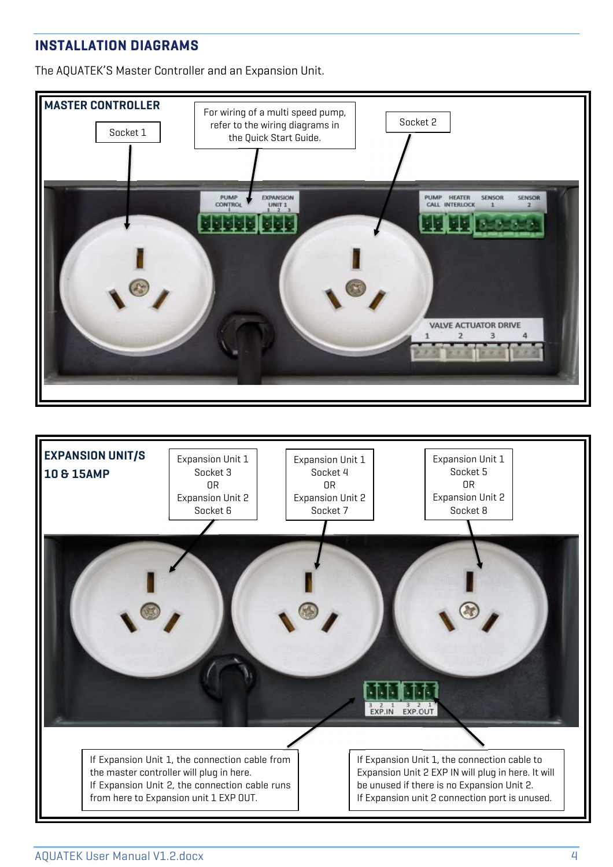#### **INSTALLATION DIAGRAMS**

The AQUATEK'S Master Controller and an Expansion Unit.



If Expansion Unit 1, the connection cable from the master controller will plug in here. If Expansion Unit 2, the connection cable runs from here to Expansion unit 1 EXP OUT.

If Expansion Unit 1, the connection cable to Expansion Unit 2 EXP IN will plug in here. It will be unused if there is no Expansion Unit 2. If Expansion unit 2 connection port is unused.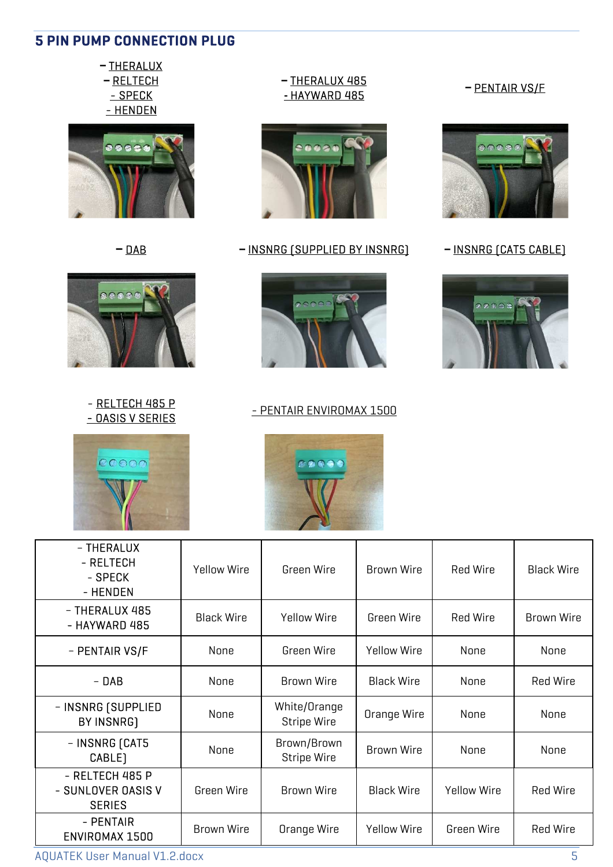#### **5 PIN PUMP CONNECTION PLUG**

– THERALUX – RELTECH - SPECK - HENDEN





- RELTECH 485 P - <u>RELIT COLLE</u><br>- DASIS V SERIES - PENTAIR ENVIROMAX 1500





– THERALUX - RELTECH - SPECK - HENDEN Yellow Wire Green Wire Brown Wire Red Wire Black Wire – THERALUX 485 - HAYWARD 485 Black Wire | Yellow Wire | Green Wire | Red Wire | Brown Wire – PENTAIR VS/F | None | Green Wire | Yellow Wire | None | None – DAB None Brown Wire Black Wire None Red Wire – INSNRG (SUPPLIED BY INSNRG) None White/Orange<br>Stripe Wire Orange Wire | None | None – INSNRG (CAT5 CABLE) None Brown/Brown Stripe Wire Brown Wire None None - RELTECH 485 P - SUNLOVER OASIS V SERIES Green Wire Brown Wire Black Wire Yellow Wire Red Wire - PENTAIR ENVIROMAX 1500 Brown Wire | Orange Wire | Yellow Wire | Green Wire | Red Wire

– THERALUX 485 **-** HAYWARD 485 – PENTAIR VS/F



– DAB – INSNRG (SUPPLIED BY INSNRG) – INSNRG (CAT5 CABLE)





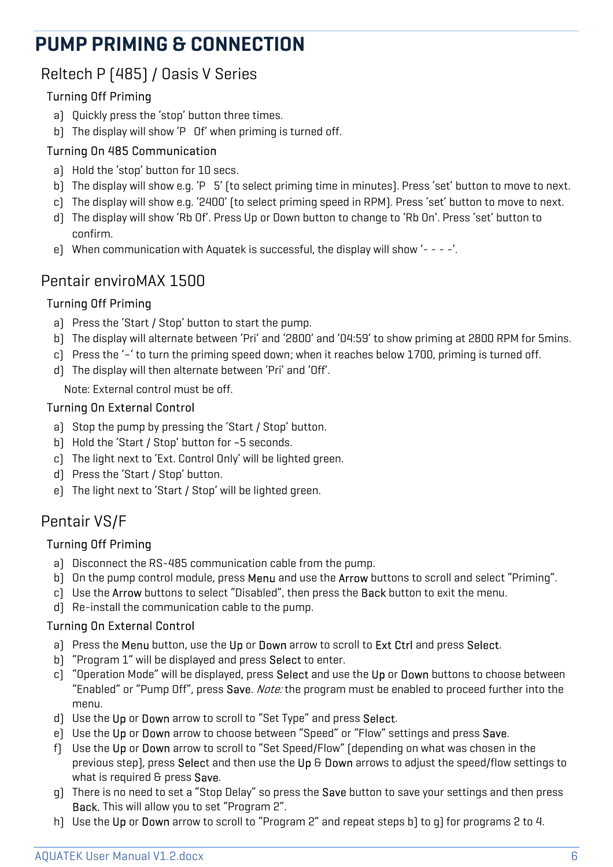# **PUMP PRIMING & CONNECTION**

### Reltech P (485) / Oasis V Series

### Turning Off Priming

- a) Quickly press the 'stop' button three times.
- b) The display will show 'P Of' when priming is turned off.

### Turning On 485 Communication

- a) Hold the 'stop' button for 10 secs.
- b) The display will show e.g. 'P 5' (to select priming time in minutes). Press 'set' button to move to next.
- c) The display will show e.g. '2400' (to select priming speed in RPM). Press 'set' button to move to next.
- d) The display will show 'Rb Of'. Press Up or Down button to change to 'Rb On'. Press 'set' button to confirm.
- e) When communication with Aquatek is successful, the display will show '- - -'.

## Pentair enviroMAX 1500

### Turning Off Priming

- a) Press the 'Start / Stop' button to start the pump.
- b) The display will alternate between 'Pri' and '2800' and '04:59' to show priming at 2800 RPM for 5mins.
- c) Press the '–' to turn the priming speed down; when it reaches below 1700, priming is turned off.
- d) The display will then alternate between 'Pri' and 'Off'.

Note: External control must be off.

#### Turning On External Control

- a) Stop the pump by pressing the 'Start / Stop' button.
- b) Hold the 'Start / Stop' button for ~5 seconds.
- c) The light next to 'Ext. Control Only' will be lighted green.
- d) Press the 'Start / Stop' button.
- e) The light next to 'Start / Stop' will be lighted green.

## Pentair VS/F

### Turning Off Priming

- a) Disconnect the RS-485 communication cable from the pump.
- b) On the pump control module, press **Menu** and use the **Arrow** buttons to scroll and select "Priming".
- c) Use the **Arrow** buttons to select "Disabled", then press the **Back** button to exit the menu.
- d) Re-install the communication cable to the pump.

### Turning On External Control

- a) Press the Menu button, use the Up or Down arrow to scroll to Ext Ctrl and press Select.
- b) "Program 1" will be displayed and press Select to enter.
- c) "Operation Mode" will be displayed, press Select and use the Up or Down buttons to choose between "Enabled" or "Pump Off", press **Save**. *Note:* the program must be enabled to proceed further into the menu.
- d) Use the Up or Down arrow to scroll to "Set Type" and press Select.
- e) Use the Up or Down arrow to choose between "Speed" or "Flow" settings and press Save.
- f) Use the Up or Down arrow to scroll to "Set Speed/Flow" (depending on what was chosen in the previous step), press Select and then use the Up & Down arrows to adjust the speed/flow settings to what is required & press Save.
- g) There is no need to set a "Stop Delay" so press the Save button to save your settings and then press Back. This will allow you to set "Program 2".
- h) Use the Up or Down arrow to scroll to "Program 2" and repeat steps b) to q) for programs 2 to 4.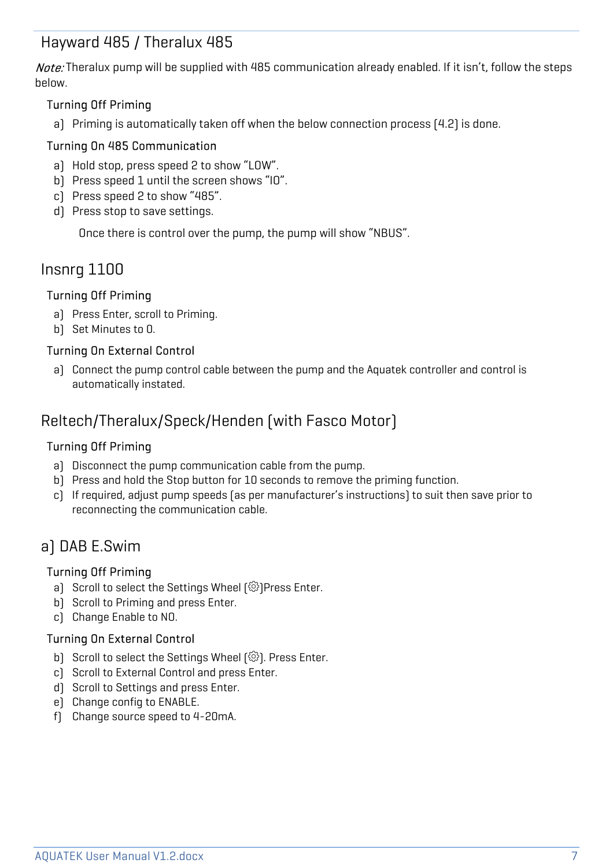### Hayward 485 / Theralux 485

Note: Theralux pump will be supplied with 485 communication already enabled. If it isn't, follow the steps below.

#### Turning Off Priming

a) Priming is automatically taken off when the below connection process (4.2) is done.

#### Turning On 485 Communication

- a) Hold stop, press speed 2 to show "LOW".
- b) Press speed 1 until the screen shows "IO".
- c) Press speed 2 to show "485".
- d) Press stop to save settings.

Once there is control over the pump, the pump will show "NBUS".

### Insnrg 1100

#### Turning Off Priming

- a) Press Enter, scroll to Priming.
- b) Set Minutes to 0.

#### Turning On External Control

a) Connect the pump control cable between the pump and the Aquatek controller and control is automatically instated.

### Reltech/Theralux/Speck/Henden (with Fasco Motor)

#### Turning Off Priming

- a) Disconnect the pump communication cable from the pump.
- b) Press and hold the Stop button for 10 seconds to remove the priming function.
- c) If required, adjust pump speeds (as per manufacturer's instructions) to suit then save prior to reconnecting the communication cable.

### a) DAB E.Swim

#### Turning Off Priming

- a) Scroll to select the Settings Wheel [@]Press Enter.
- b) Scroll to Priming and press Enter.
- c) Change Enable to NO.

#### Turning On External Control

- b) Scroll to select the Settings Wheel  $\{\hat{\otimes}\}$ . Press Enter.
- c) Scroll to External Control and press Enter.
- d) Scroll to Settings and press Enter.
- e) Change config to ENABLE.
- f) Change source speed to 4-20mA.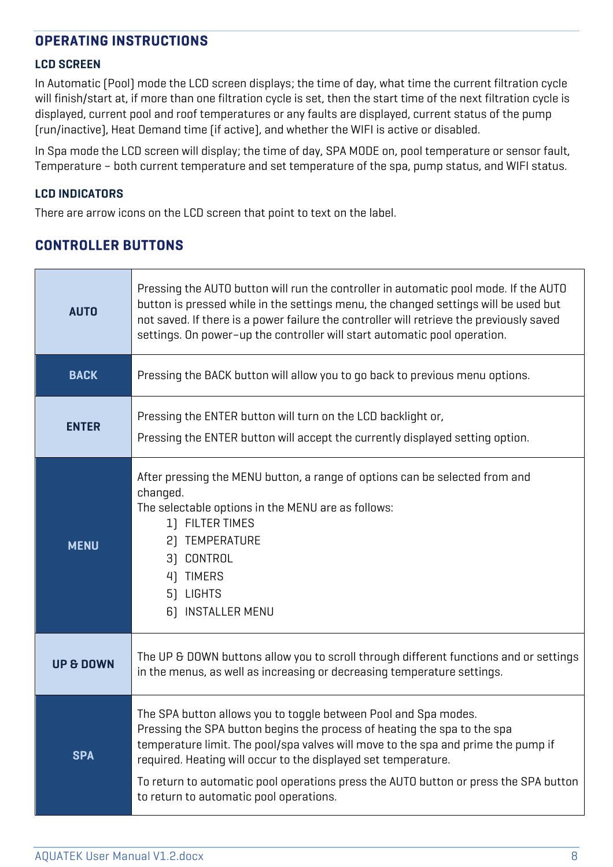#### **OPERATING INSTRUCTIONS**

#### **LCD SCREEN**

In Automatic (Pool) mode the LCD screen displays; the time of day, what time the current filtration cycle will finish/start at, if more than one filtration cycle is set, then the start time of the next filtration cycle is displayed, current pool and roof temperatures or any faults are displayed, current status of the pump (run/inactive), Heat Demand time (if active), and whether the WIFI is active or disabled.

In Spa mode the LCD screen will display; the time of day, SPA MODE on, pool temperature or sensor fault, Temperature – both current temperature and set temperature of the spa, pump status, and WIFI status.

#### **LCD INDICATORS**

There are arrow icons on the LCD screen that point to text on the label.

#### **CONTROLLER BUTTONS**

| <b>AUTO</b>          | Pressing the AUTO button will run the controller in automatic pool mode. If the AUTO<br>button is pressed while in the settings menu, the changed settings will be used but<br>not saved. If there is a power failure the controller will retrieve the previously saved<br>settings. On power-up the controller will start automatic pool operation.                                                                                  |  |
|----------------------|---------------------------------------------------------------------------------------------------------------------------------------------------------------------------------------------------------------------------------------------------------------------------------------------------------------------------------------------------------------------------------------------------------------------------------------|--|
| <b>BACK</b>          | Pressing the BACK button will allow you to go back to previous menu options.                                                                                                                                                                                                                                                                                                                                                          |  |
| <b>ENTER</b>         | Pressing the ENTER button will turn on the LCD backlight or,<br>Pressing the ENTER button will accept the currently displayed setting option.                                                                                                                                                                                                                                                                                         |  |
| <b>MENU</b>          | After pressing the MENU button, a range of options can be selected from and<br>changed.<br>The selectable options in the MENU are as follows:<br>1) FILTER TIMES<br>2) TEMPERATURE<br>3) CONTROL<br>4) TIMERS<br>5) LIGHTS<br>6) INSTALLER MENU                                                                                                                                                                                       |  |
| <b>UP &amp; DOWN</b> | The UP & DOWN buttons allow you to scroll through different functions and or settings<br>in the menus, as well as increasing or decreasing temperature settings.                                                                                                                                                                                                                                                                      |  |
| <b>SPA</b>           | The SPA button allows you to toggle between Pool and Spa modes.<br>Pressing the SPA button begins the process of heating the spa to the spa<br>temperature limit. The pool/spa valves will move to the spa and prime the pump if<br>required. Heating will occur to the displayed set temperature.<br>To return to automatic pool operations press the AUTO button or press the SPA button<br>to return to automatic pool operations. |  |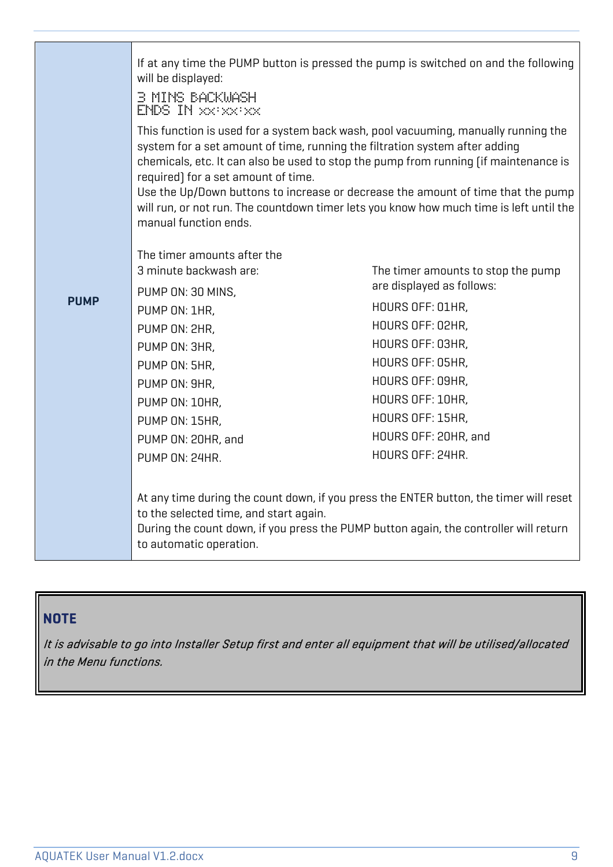|             | If at any time the PUMP button is pressed the pump is switched on and the following<br>will be displayed:<br><b>B MINS BACKWASH</b><br>ENDS IN XXXXXXX<br>This function is used for a system back wash, pool vacuuming, manually running the<br>system for a set amount of time, running the filtration system after adding<br>chemicals, etc. It can also be used to stop the pump from running (if maintenance is<br>required) for a set amount of time.<br>Use the Up/Down buttons to increase or decrease the amount of time that the pump<br>will run, or not run. The countdown timer lets you know how much time is left until the<br>manual function ends. |                                                                                                                                                                                                                                                         |
|-------------|--------------------------------------------------------------------------------------------------------------------------------------------------------------------------------------------------------------------------------------------------------------------------------------------------------------------------------------------------------------------------------------------------------------------------------------------------------------------------------------------------------------------------------------------------------------------------------------------------------------------------------------------------------------------|---------------------------------------------------------------------------------------------------------------------------------------------------------------------------------------------------------------------------------------------------------|
| <b>PUMP</b> | The timer amounts after the<br>3 minute backwash are:<br>PUMP ON: 30 MINS,<br>PUMP ON: 1HR,<br>PUMP ON: 2HR,<br>PUMP ON: 3HR,<br>PUMP ON: 5HR,<br>PUMP ON: 9HR,<br>PUMP ON: 10HR,<br>PUMP ON: 15HR,<br>PUMP ON: 20HR, and<br>PUMP ON: 24HR.<br>At any time during the count down, if you press the ENTER button, the timer will reset<br>to the selected time, and start again.<br>During the count down, if you press the PUMP button again, the controller will return<br>to automatic operation.                                                                                                                                                                | The timer amounts to stop the pump<br>are displayed as follows:<br>HOURS OFF: 01HR,<br>HOURS OFF: 02HR,<br>HOURS OFF: 03HR,<br>HOURS OFF: 05HR,<br>HOURS OFF: 09HR,<br>HOURS OFF: 10HR,<br>HOURS OFF: 15HR,<br>HOURS OFF: 20HR, and<br>HOURS OFF: 24HR. |

### **NOTE**

It is advisable to go into Installer Setup first and enter all equipment that will be utilised/allocated in the Menu functions.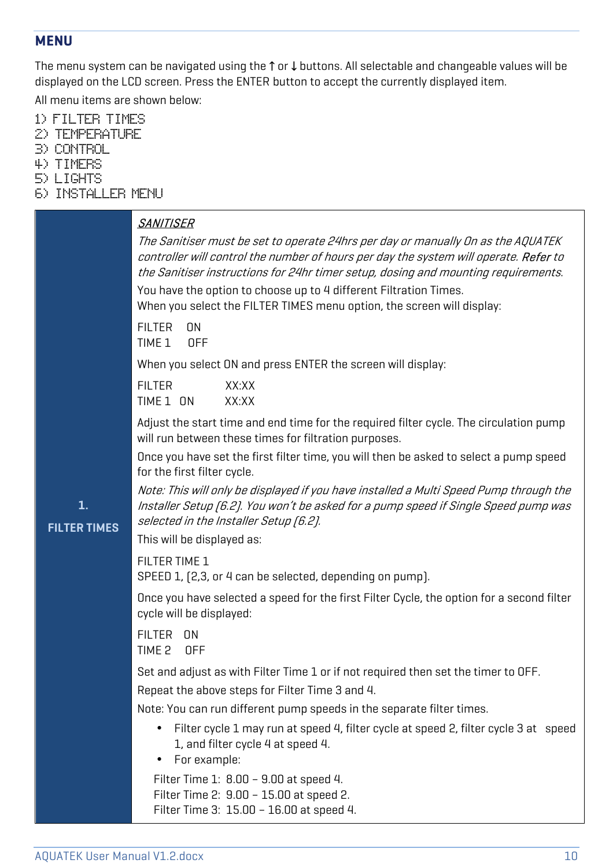#### **MENU**

The menu system can be navigated using the ↑ or ↓ buttons. All selectable and changeable values will be displayed on the LCD screen. Press the ENTER button to accept the currently displayed item.

All menu items are shown below:

- 1) FILTER TIMES
- 2) TEMPERATURE
- 3) CONTROL
- 4) TIMERS
- 5) LIGHTS
- 6) INSTALLER MENU

| 1.<br><b>FILTER TIMES</b> | <b>SANITISER</b><br>The Sanitiser must be set to operate 24hrs per day or manually On as the AQUATEK<br>controller will control the number of hours per day the system will operate. Refer to<br>the Sanitiser instructions for 24hr timer setup, dosing and mounting requirements.<br>You have the option to choose up to 4 different Filtration Times.<br>When you select the FILTER TIMES menu option, the screen will display:<br><b>FILTER</b><br><b>ON</b><br>TIME <sub>1</sub><br><b>OFF</b><br>When you select ON and press ENTER the screen will display:<br><b>FILTER</b><br>XX:XX<br>TIME 1 ON<br>XX:XX<br>Adjust the start time and end time for the required filter cycle. The circulation pump<br>will run between these times for filtration purposes.<br>Once you have set the first filter time, you will then be asked to select a pump speed |
|---------------------------|-----------------------------------------------------------------------------------------------------------------------------------------------------------------------------------------------------------------------------------------------------------------------------------------------------------------------------------------------------------------------------------------------------------------------------------------------------------------------------------------------------------------------------------------------------------------------------------------------------------------------------------------------------------------------------------------------------------------------------------------------------------------------------------------------------------------------------------------------------------------|
|                           | for the first filter cycle.<br>Note: This will only be displayed if you have installed a Multi Speed Pump through the<br>Installer Setup (6.2). You won't be asked for a pump speed if Single Speed pump was<br>selected in the Installer Setup [6.2].<br>This will be displayed as:<br>FILTER TIME 1                                                                                                                                                                                                                                                                                                                                                                                                                                                                                                                                                           |
|                           | SPEED 1, [2,3, or 4 can be selected, depending on pump].<br>Once you have selected a speed for the first Filter Cycle, the option for a second filter<br>cycle will be displayed:<br><b>FILTER</b><br>ON<br>TIME <sub>2</sub><br><b>OFF</b>                                                                                                                                                                                                                                                                                                                                                                                                                                                                                                                                                                                                                     |
|                           | Set and adjust as with Filter Time 1 or if not required then set the timer to OFF.<br>Repeat the above steps for Filter Time 3 and 4.<br>Note: You can run different pump speeds in the separate filter times.<br>Filter cycle 1 may run at speed 4, filter cycle at speed 2, filter cycle 3 at speed<br>$\bullet$<br>1, and filter cycle 4 at speed 4.<br>For example:<br>Filter Time 1: 8.00 - 9.00 at speed 4.<br>Filter Time 2: 9.00 - 15.00 at speed 2.                                                                                                                                                                                                                                                                                                                                                                                                    |

Filter Time 3: 15.00 – 16.00 at speed 4.

AQUATEK User Manual V1.2.docx 10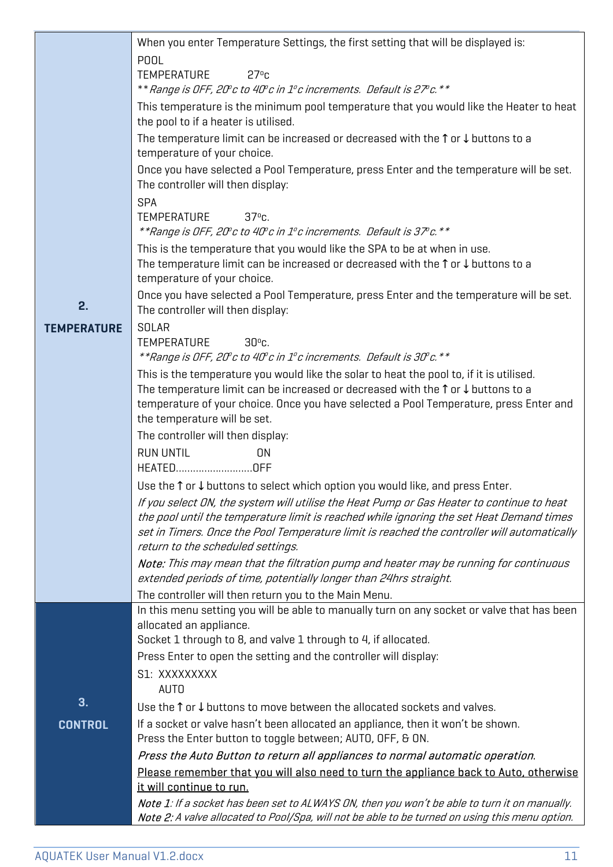|                    | When you enter Temperature Settings, the first setting that will be displayed is:                                                                          |  |  |
|--------------------|------------------------------------------------------------------------------------------------------------------------------------------------------------|--|--|
|                    | <b>POOL</b>                                                                                                                                                |  |  |
|                    | 27°c<br>TEMPERATURE                                                                                                                                        |  |  |
|                    | ** Range is OFF, 20° c to 40° c in 1° c increments. Default is 27° c. **                                                                                   |  |  |
|                    | This temperature is the minimum pool temperature that you would like the Heater to heat<br>the pool to if a heater is utilised.                            |  |  |
|                    | The temperature limit can be increased or decreased with the $\uparrow$ or $\downarrow$ buttons to a<br>temperature of your choice.                        |  |  |
|                    | Once you have selected a Pool Temperature, press Enter and the temperature will be set.<br>The controller will then display:                               |  |  |
|                    | <b>SPA</b>                                                                                                                                                 |  |  |
|                    | $37oc$ .<br><b>TEMPERATURE</b>                                                                                                                             |  |  |
|                    | **Range is OFF, 20° c to 40° c in 1° c increments. Default is 37° c. **                                                                                    |  |  |
|                    | This is the temperature that you would like the SPA to be at when in use.                                                                                  |  |  |
|                    | The temperature limit can be increased or decreased with the $\uparrow$ or $\downarrow$ buttons to a<br>temperature of your choice.                        |  |  |
|                    | Once you have selected a Pool Temperature, press Enter and the temperature will be set.                                                                    |  |  |
| 2.                 | The controller will then display:                                                                                                                          |  |  |
| <b>TEMPERATURE</b> | <b>SOLAR</b>                                                                                                                                               |  |  |
|                    | <b>TEMPERATURE</b><br>$30^{\circ}$ c.                                                                                                                      |  |  |
|                    | **Range is OFF, 20°c to 40°c in 1°c increments. Default is 30°c. **                                                                                        |  |  |
|                    | This is the temperature you would like the solar to heat the pool to, if it is utilised.                                                                   |  |  |
|                    | The temperature limit can be increased or decreased with the $\uparrow$ or $\downarrow$ buttons to a                                                       |  |  |
|                    | temperature of your choice. Once you have selected a Pool Temperature, press Enter and<br>the temperature will be set.                                     |  |  |
|                    | The controller will then display:                                                                                                                          |  |  |
|                    | <b>RUN UNTIL</b><br><b>ON</b>                                                                                                                              |  |  |
|                    | HEATEDOFF                                                                                                                                                  |  |  |
|                    | Use the $\uparrow$ or $\downarrow$ buttons to select which option you would like, and press Enter.                                                         |  |  |
|                    | If you select ON, the system will utilise the Heat Pump or Gas Heater to continue to heat                                                                  |  |  |
|                    | the pool until the temperature limit is reached while ignoring the set Heat Demand times                                                                   |  |  |
|                    | set in Timers. Once the Pool Temperature limit is reached the controller will automatically                                                                |  |  |
|                    | return to the scheduled settings.                                                                                                                          |  |  |
|                    | Note: This may mean that the filtration pump and heater may be running for continuous<br>extended periods of time, potentially longer than 24hrs straight. |  |  |
|                    | The controller will then return you to the Main Menu.                                                                                                      |  |  |
|                    | In this menu setting you will be able to manually turn on any socket or valve that has been                                                                |  |  |
|                    | allocated an appliance.                                                                                                                                    |  |  |
|                    | Socket 1 through to 8, and valve 1 through to 4, if allocated.                                                                                             |  |  |
|                    | Press Enter to open the setting and the controller will display:                                                                                           |  |  |
|                    | S1: XXXXXXXXX<br><b>AUTO</b>                                                                                                                               |  |  |
| 3.                 | Use the $\uparrow$ or $\downarrow$ buttons to move between the allocated sockets and valves.                                                               |  |  |
| <b>CONTROL</b>     | If a socket or valve hasn't been allocated an appliance, then it won't be shown.                                                                           |  |  |
|                    | Press the Enter button to toggle between; AUTO, OFF, & ON.                                                                                                 |  |  |
|                    | Press the Auto Button to return all appliances to normal automatic operation.                                                                              |  |  |
|                    | Please remember that you will also need to turn the appliance back to Auto, otherwise<br>it will continue to run.                                          |  |  |
|                    | Note 1: If a socket has been set to ALWAYS ON, then you won't be able to turn it on manually.                                                              |  |  |
|                    | Note 2: A valve allocated to Pool/Spa, will not be able to be turned on using this menu option.                                                            |  |  |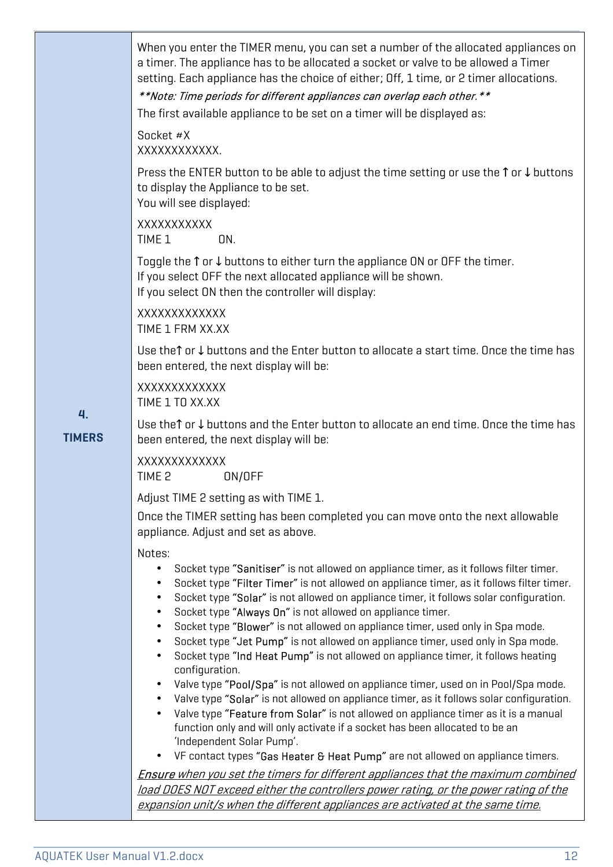|                     | When you enter the TIMER menu, you can set a number of the allocated appliances on<br>a timer. The appliance has to be allocated a socket or valve to be allowed a Timer<br>setting. Each appliance has the choice of either; Off, 1 time, or 2 timer allocations.<br>**Note: Time periods for different appliances can overlap each other. **<br>The first available appliance to be set on a timer will be displayed as:<br>Socket #X<br>XXXXXXXXXXX.                                                                                                                                                                                                                                                                                                                                                                                                                                                                                                                                                                                                                                                                                                        |
|---------------------|----------------------------------------------------------------------------------------------------------------------------------------------------------------------------------------------------------------------------------------------------------------------------------------------------------------------------------------------------------------------------------------------------------------------------------------------------------------------------------------------------------------------------------------------------------------------------------------------------------------------------------------------------------------------------------------------------------------------------------------------------------------------------------------------------------------------------------------------------------------------------------------------------------------------------------------------------------------------------------------------------------------------------------------------------------------------------------------------------------------------------------------------------------------|
|                     | Press the ENTER button to be able to adjust the time setting or use the $\uparrow$ or $\downarrow$ buttons<br>to display the Appliance to be set.<br>You will see displayed:                                                                                                                                                                                                                                                                                                                                                                                                                                                                                                                                                                                                                                                                                                                                                                                                                                                                                                                                                                                   |
|                     | XXXXXXXXXX<br>TIME 1<br>ON.                                                                                                                                                                                                                                                                                                                                                                                                                                                                                                                                                                                                                                                                                                                                                                                                                                                                                                                                                                                                                                                                                                                                    |
|                     | Toggle the $\uparrow$ or $\downarrow$ buttons to either turn the appliance ON or OFF the timer.<br>If you select OFF the next allocated appliance will be shown.<br>If you select ON then the controller will display:                                                                                                                                                                                                                                                                                                                                                                                                                                                                                                                                                                                                                                                                                                                                                                                                                                                                                                                                         |
|                     | XXXXXXXXXXXX<br>TIME 1 FRM XX.XX                                                                                                                                                                                                                                                                                                                                                                                                                                                                                                                                                                                                                                                                                                                                                                                                                                                                                                                                                                                                                                                                                                                               |
|                     | Use the $\uparrow$ or $\downarrow$ buttons and the Enter button to allocate a start time. Once the time has<br>been entered, the next display will be:                                                                                                                                                                                                                                                                                                                                                                                                                                                                                                                                                                                                                                                                                                                                                                                                                                                                                                                                                                                                         |
|                     | XXXXXXXXXXXX<br>TIME 1 TO XX.XX                                                                                                                                                                                                                                                                                                                                                                                                                                                                                                                                                                                                                                                                                                                                                                                                                                                                                                                                                                                                                                                                                                                                |
| 4.<br><b>TIMERS</b> | Use the $\uparrow$ or $\downarrow$ buttons and the Enter button to allocate an end time. Once the time has<br>been entered, the next display will be:                                                                                                                                                                                                                                                                                                                                                                                                                                                                                                                                                                                                                                                                                                                                                                                                                                                                                                                                                                                                          |
|                     | <b>XXXXXXXXXXXXX</b><br>TIME 2<br>ON/OFF                                                                                                                                                                                                                                                                                                                                                                                                                                                                                                                                                                                                                                                                                                                                                                                                                                                                                                                                                                                                                                                                                                                       |
|                     | Adjust TIME 2 setting as with TIME 1.<br>Once the TIMER setting has been completed you can move onto the next allowable<br>appliance. Adjust and set as above.                                                                                                                                                                                                                                                                                                                                                                                                                                                                                                                                                                                                                                                                                                                                                                                                                                                                                                                                                                                                 |
|                     | Notes:<br>Socket type "Sanitiser" is not allowed on appliance timer, as it follows filter timer.<br>$\bullet$<br>Socket type "Filter Timer" is not allowed on appliance timer, as it follows filter timer.<br>Socket type "Solar" is not allowed on appliance timer, it follows solar configuration.<br>Socket type "Always On" is not allowed on appliance timer.<br>$\bullet$<br>Socket type "Blower" is not allowed on appliance timer, used only in Spa mode.<br>$\bullet$<br>Socket type "Jet Pump" is not allowed on appliance timer, used only in Spa mode.<br>Socket type "Ind Heat Pump" is not allowed on appliance timer, it follows heating<br>configuration.<br>Valve type "Pool/Spa" is not allowed on appliance timer, used on in Pool/Spa mode.<br>$\bullet$<br>Valve type "Solar" is not allowed on appliance timer, as it follows solar configuration.<br>Valve type "Feature from Solar" is not allowed on appliance timer as it is a manual<br>function only and will only activate if a socket has been allocated to be an<br>'Independent Solar Pump'.<br>VF contact types "Gas Heater & Heat Pump" are not allowed on appliance timers. |
|                     | <b>Ensure</b> when you set the timers for different appliances that the maximum combined                                                                                                                                                                                                                                                                                                                                                                                                                                                                                                                                                                                                                                                                                                                                                                                                                                                                                                                                                                                                                                                                       |
|                     | load DOES NOT exceed either the controllers power rating, or the power rating of the<br>expansion unit/s when the different appliances are activated at the same time.                                                                                                                                                                                                                                                                                                                                                                                                                                                                                                                                                                                                                                                                                                                                                                                                                                                                                                                                                                                         |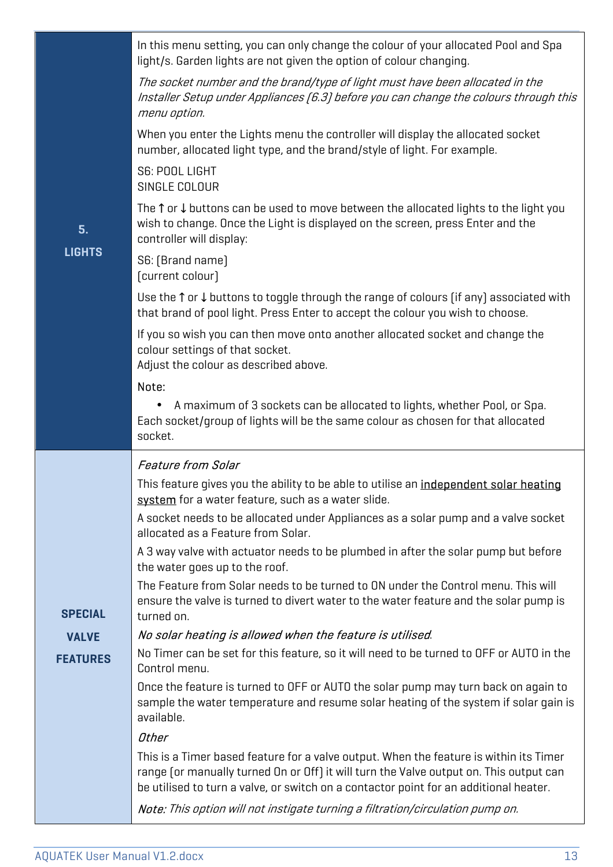|                 | In this menu setting, you can only change the colour of your allocated Pool and Spa<br>light/s. Garden lights are not given the option of colour changing.                                                                                                                |
|-----------------|---------------------------------------------------------------------------------------------------------------------------------------------------------------------------------------------------------------------------------------------------------------------------|
|                 | The socket number and the brand/type of light must have been allocated in the<br>Installer Setup under Appliances [6.3] before you can change the colours through this<br>menu option.                                                                                    |
|                 | When you enter the Lights menu the controller will display the allocated socket<br>number, allocated light type, and the brand/style of light. For example.                                                                                                               |
|                 | S6: POOL LIGHT<br>SINGLE COLOUR                                                                                                                                                                                                                                           |
| 5.              | The $\uparrow$ or $\downarrow$ buttons can be used to move between the allocated lights to the light you<br>wish to change. Once the Light is displayed on the screen, press Enter and the<br>controller will display:                                                    |
| <b>LIGHTS</b>   | S6: [Brand name]<br>[current colour]                                                                                                                                                                                                                                      |
|                 | Use the $\uparrow$ or $\downarrow$ buttons to toggle through the range of colours (if any) associated with<br>that brand of pool light. Press Enter to accept the colour you wish to choose.                                                                              |
|                 | If you so wish you can then move onto another allocated socket and change the<br>colour settings of that socket.<br>Adjust the colour as described above.                                                                                                                 |
|                 | Note:                                                                                                                                                                                                                                                                     |
|                 | A maximum of 3 sockets can be allocated to lights, whether Pool, or Spa.<br>Each socket/group of lights will be the same colour as chosen for that allocated<br>socket.                                                                                                   |
|                 | <b>Feature from Solar</b>                                                                                                                                                                                                                                                 |
|                 | This feature gives you the ability to be able to utilise an <i>independent solar heating</i><br>system for a water feature, such as a water slide.                                                                                                                        |
|                 | A socket needs to be allocated under Appliances as a solar pump and a valve socket<br>allocated as a Feature from Solar.                                                                                                                                                  |
|                 | A 3 way valve with actuator needs to be plumbed in after the solar pump but before<br>the water goes up to the roof.                                                                                                                                                      |
| <b>SPECIAL</b>  | The Feature from Solar needs to be turned to ON under the Control menu. This will<br>ensure the valve is turned to divert water to the water feature and the solar pump is<br>turned on.                                                                                  |
| <b>VALVE</b>    | No solar heating is allowed when the feature is utilised.                                                                                                                                                                                                                 |
| <b>FEATURES</b> | No Timer can be set for this feature, so it will need to be turned to OFF or AUTO in the<br>Control menu.                                                                                                                                                                 |
|                 | Once the feature is turned to OFF or AUTO the solar pump may turn back on again to<br>sample the water temperature and resume solar heating of the system if solar gain is<br>available.                                                                                  |
|                 | Other                                                                                                                                                                                                                                                                     |
|                 | This is a Timer based feature for a valve output. When the feature is within its Timer<br>range (or manually turned On or Off) it will turn the Valve output on. This output can<br>be utilised to turn a valve, or switch on a contactor point for an additional heater. |
|                 | Note: This option will not instigate turning a filtration/circulation pump on.                                                                                                                                                                                            |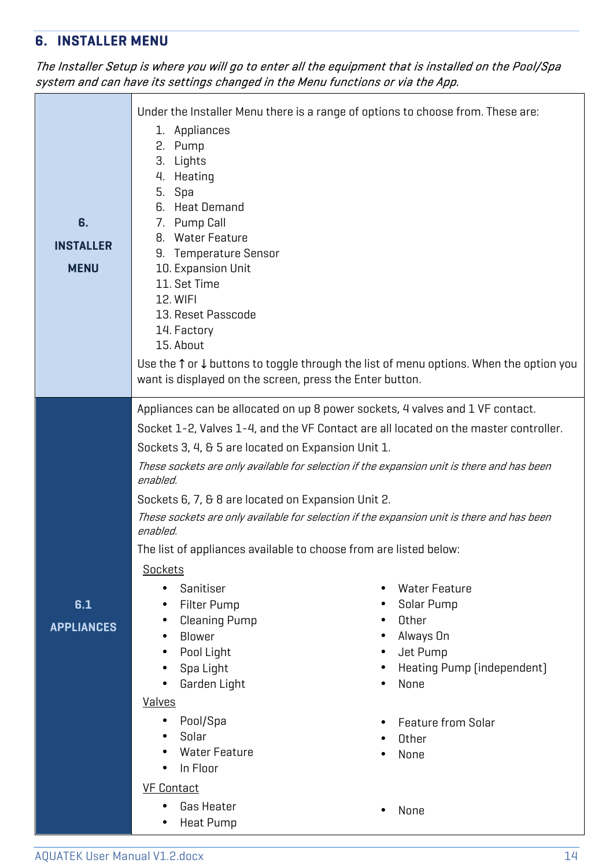### **6. INSTALLER MENU**

#### The Installer Setup is where you will go to enter all the equipment that is installed on the Pool/Spa system and can have its settings changed in the Menu functions or via the App.

| 6.<br><b>INSTALLER</b><br><b>MENU</b> | 1. Appliances<br>2. Pump<br>3. Lights<br>4. Heating<br>5. Spa<br>6. Heat Demand<br>7. Pump Call<br>8. Water Feature<br>9. Temperature Sensor<br>10. Expansion Unit<br>11. Set Time<br>12. WIFI<br>13. Reset Passcode<br>14. Factory<br>15. About<br>want is displayed on the screen, press the Enter button.                                                                                                                                                                                                                                                                                  | Under the Installer Menu there is a range of options to choose from. These are:<br>Use the $\uparrow$ or $\downarrow$ buttons to toggle through the list of menu options. When the option you                                                                                                                                                                                                                                                                                                                                                                   |
|---------------------------------------|-----------------------------------------------------------------------------------------------------------------------------------------------------------------------------------------------------------------------------------------------------------------------------------------------------------------------------------------------------------------------------------------------------------------------------------------------------------------------------------------------------------------------------------------------------------------------------------------------|-----------------------------------------------------------------------------------------------------------------------------------------------------------------------------------------------------------------------------------------------------------------------------------------------------------------------------------------------------------------------------------------------------------------------------------------------------------------------------------------------------------------------------------------------------------------|
| 6.1<br><b>APPLIANCES</b>              | Sockets 3, 4, & 5 are located on Expansion Unit 1.<br>enabled.<br>Sockets 6, 7, & 8 are located on Expansion Unit 2.<br>enabled.<br>The list of appliances available to choose from are listed below:<br>Sockets<br>Sanitiser<br>$\bullet$<br><b>Filter Pump</b><br>$\bullet$<br><b>Cleaning Pump</b><br>$\bullet$<br>Blower<br>$\bullet$<br>Pool Light<br>$\bullet$<br>Spa Light<br>Garden Light<br><b>Valves</b><br>Pool/Spa<br>$\bullet$<br>Solar<br>$\bullet$<br><b>Water Feature</b><br>In Floor<br>$\bullet$<br><b>VF Contact</b><br><b>Gas Heater</b><br><b>Heat Pump</b><br>$\bullet$ | Appliances can be allocated on up 8 power sockets, 4 valves and 1 VF contact.<br>Socket 1-2, Valves 1-4, and the VF Contact are all located on the master controller.<br>These sockets are only available for selection if the expansion unit is there and has been<br>These sockets are only available for selection if the expansion unit is there and has been<br><b>Water Feature</b><br>$\bullet$<br>Solar Pump<br>Other<br>Always On<br>Jet Pump<br>$\bullet$<br>Heating Pump (independent)<br>None<br><b>Feature from Solar</b><br>Other<br>None<br>None |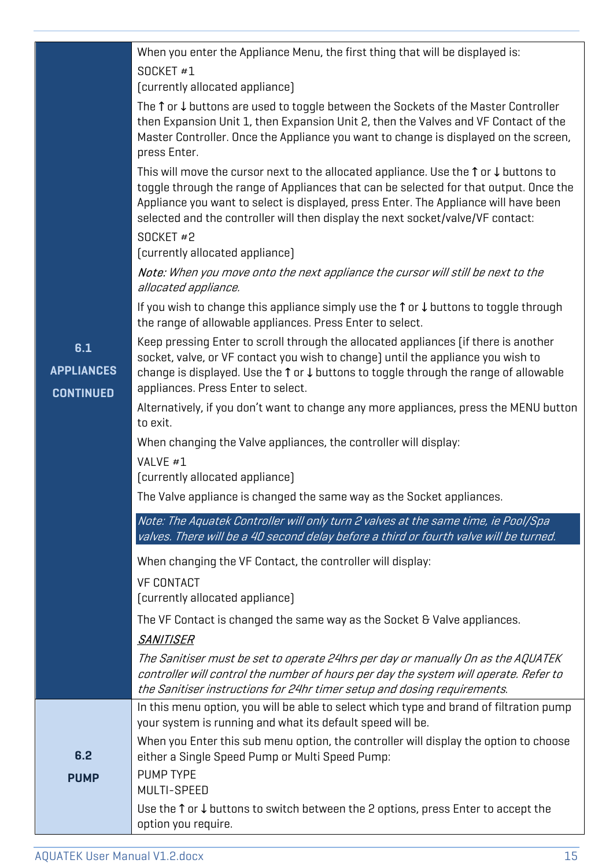|                          | When you enter the Appliance Menu, the first thing that will be displayed is:<br>SOCKET #1                                                                                                                                                                                                                                                                                   |
|--------------------------|------------------------------------------------------------------------------------------------------------------------------------------------------------------------------------------------------------------------------------------------------------------------------------------------------------------------------------------------------------------------------|
|                          | (currently allocated appliance)                                                                                                                                                                                                                                                                                                                                              |
|                          | The $\uparrow$ or $\downarrow$ buttons are used to toggle between the Sockets of the Master Controller<br>then Expansion Unit 1, then Expansion Unit 2, then the Valves and VF Contact of the<br>Master Controller. Once the Appliance you want to change is displayed on the screen,<br>press Enter.                                                                        |
|                          | This will move the cursor next to the allocated appliance. Use the $\uparrow$ or $\downarrow$ buttons to<br>toggle through the range of Appliances that can be selected for that output. Once the<br>Appliance you want to select is displayed, press Enter. The Appliance will have been<br>selected and the controller will then display the next socket/valve/VF contact: |
|                          | SOCKET#2<br>(currently allocated appliance)                                                                                                                                                                                                                                                                                                                                  |
|                          | Note: When you move onto the next appliance the cursor will still be next to the<br>allocated appliance.                                                                                                                                                                                                                                                                     |
|                          | If you wish to change this appliance simply use the $\uparrow$ or $\downarrow$ buttons to toggle through<br>the range of allowable appliances. Press Enter to select.                                                                                                                                                                                                        |
| 6.1<br><b>APPLIANCES</b> | Keep pressing Enter to scroll through the allocated appliances (if there is another<br>socket, valve, or VF contact you wish to change) until the appliance you wish to<br>change is displayed. Use the $\uparrow$ or $\downarrow$ buttons to toggle through the range of allowable<br>appliances. Press Enter to select.                                                    |
| <b>CONTINUED</b>         | Alternatively, if you don't want to change any more appliances, press the MENU button<br>to exit.                                                                                                                                                                                                                                                                            |
|                          | When changing the Valve appliances, the controller will display:                                                                                                                                                                                                                                                                                                             |
|                          | VALVE #1<br>(currently allocated appliance)                                                                                                                                                                                                                                                                                                                                  |
|                          | The Valve appliance is changed the same way as the Socket appliances.                                                                                                                                                                                                                                                                                                        |
|                          | Note: The Aquatek Controller will only turn 2 valves at the same time, ie Pool/Spa<br>valves. There will be a 40 second delay before a third or fourth valve will be turned.                                                                                                                                                                                                 |
|                          | When changing the VF Contact, the controller will display:                                                                                                                                                                                                                                                                                                                   |
|                          | <b>VF CONTACT</b><br>(currently allocated appliance)                                                                                                                                                                                                                                                                                                                         |
|                          | The VF Contact is changed the same way as the Socket & Valve appliances.                                                                                                                                                                                                                                                                                                     |
|                          | <b>SANITISER</b>                                                                                                                                                                                                                                                                                                                                                             |
|                          | The Sanitiser must be set to operate 24hrs per day or manually On as the AQUATEK<br>controller will control the number of hours per day the system will operate. Refer to<br>the Sanitiser instructions for 24hr timer setup and dosing requirements.                                                                                                                        |
|                          | In this menu option, you will be able to select which type and brand of filtration pump<br>your system is running and what its default speed will be.                                                                                                                                                                                                                        |
| 6.2                      | When you Enter this sub menu option, the controller will display the option to choose<br>either a Single Speed Pump or Multi Speed Pump:                                                                                                                                                                                                                                     |
| <b>PUMP</b>              | PUMP TYPE<br>MULTI-SPEED                                                                                                                                                                                                                                                                                                                                                     |
|                          | Use the $\uparrow$ or $\downarrow$ buttons to switch between the 2 options, press Enter to accept the<br>option you require.                                                                                                                                                                                                                                                 |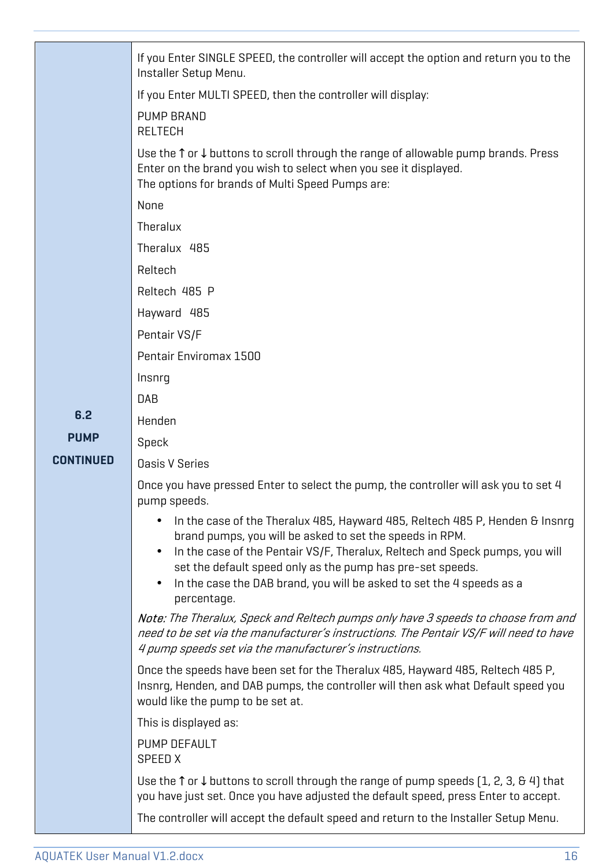|                  | If you Enter SINGLE SPEED, the controller will accept the option and return you to the<br>Installer Setup Menu.                                                                                                                                                                                                                                                                                          |
|------------------|----------------------------------------------------------------------------------------------------------------------------------------------------------------------------------------------------------------------------------------------------------------------------------------------------------------------------------------------------------------------------------------------------------|
|                  | If you Enter MULTI SPEED, then the controller will display:                                                                                                                                                                                                                                                                                                                                              |
|                  | PUMP BRAND<br><b>RELTECH</b>                                                                                                                                                                                                                                                                                                                                                                             |
|                  | Use the $\uparrow$ or $\downarrow$ buttons to scroll through the range of allowable pump brands. Press<br>Enter on the brand you wish to select when you see it displayed.<br>The options for brands of Multi Speed Pumps are:                                                                                                                                                                           |
|                  | None                                                                                                                                                                                                                                                                                                                                                                                                     |
|                  | Theralux                                                                                                                                                                                                                                                                                                                                                                                                 |
|                  | Theralux 485                                                                                                                                                                                                                                                                                                                                                                                             |
|                  | Reltech                                                                                                                                                                                                                                                                                                                                                                                                  |
|                  | Reltech 485 P                                                                                                                                                                                                                                                                                                                                                                                            |
|                  | Hayward 485                                                                                                                                                                                                                                                                                                                                                                                              |
|                  | Pentair VS/F                                                                                                                                                                                                                                                                                                                                                                                             |
|                  | Pentair Enviromax 1500                                                                                                                                                                                                                                                                                                                                                                                   |
|                  | Insnrq                                                                                                                                                                                                                                                                                                                                                                                                   |
|                  | <b>DAB</b>                                                                                                                                                                                                                                                                                                                                                                                               |
| 6.2              | Henden                                                                                                                                                                                                                                                                                                                                                                                                   |
| <b>PUMP</b>      | Speck                                                                                                                                                                                                                                                                                                                                                                                                    |
| <b>CONTINUED</b> | <b>Oasis V Series</b>                                                                                                                                                                                                                                                                                                                                                                                    |
|                  | Once you have pressed Enter to select the pump, the controller will ask you to set 4<br>pump speeds.                                                                                                                                                                                                                                                                                                     |
|                  | In the case of the Theralux 485, Hayward 485, Reltech 485 P, Henden & Insnrq<br>brand pumps, you will be asked to set the speeds in RPM.<br>In the case of the Pentair VS/F, Theralux, Reltech and Speck pumps, you will<br>$\bullet$<br>set the default speed only as the pump has pre-set speeds.<br>In the case the DAB brand, you will be asked to set the 4 speeds as a<br>$\bullet$<br>percentage. |
|                  | Note: The Theralux, Speck and Reltech pumps only have 3 speeds to choose from and<br>need to be set via the manufacturer's instructions. The Pentair VS/F will need to have<br>4 pump speeds set via the manufacturer's instructions.                                                                                                                                                                    |
|                  | Once the speeds have been set for the Theralux 485, Hayward 485, Reltech 485 P,<br>Insnrg, Henden, and DAB pumps, the controller will then ask what Default speed you<br>would like the pump to be set at.                                                                                                                                                                                               |
|                  | This is displayed as:                                                                                                                                                                                                                                                                                                                                                                                    |
|                  | PUMP DEFAULT<br>SPEED X                                                                                                                                                                                                                                                                                                                                                                                  |
|                  | Use the $\uparrow$ or $\downarrow$ buttons to scroll through the range of pump speeds (1, 2, 3, 64) that<br>you have just set. Once you have adjusted the default speed, press Enter to accept.                                                                                                                                                                                                          |
|                  | The controller will accept the default speed and return to the Installer Setup Menu.                                                                                                                                                                                                                                                                                                                     |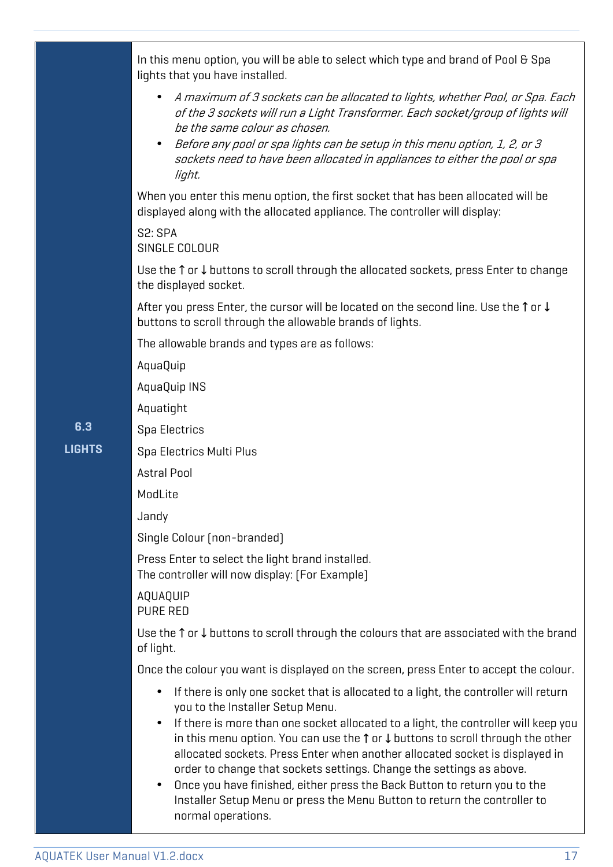|              | In this menu option, you will be able to select which type and brand of Pool & Spa<br>lights that you have installed.                                                                                                                                                                                                                                                                                                                                                                                                                                                                                                                                                                                 |  |  |  |
|--------------|-------------------------------------------------------------------------------------------------------------------------------------------------------------------------------------------------------------------------------------------------------------------------------------------------------------------------------------------------------------------------------------------------------------------------------------------------------------------------------------------------------------------------------------------------------------------------------------------------------------------------------------------------------------------------------------------------------|--|--|--|
|              | A maximum of 3 sockets can be allocated to lights, whether Pool, or Spa. Each<br>$\bullet$<br>of the 3 sockets will run a Light Transformer. Each socket/group of lights will<br>be the same colour as chosen.<br>Before any pool or spa lights can be setup in this menu option, 1, 2, or 3<br>sockets need to have been allocated in appliances to either the pool or spa<br>light.                                                                                                                                                                                                                                                                                                                 |  |  |  |
|              | When you enter this menu option, the first socket that has been allocated will be<br>displayed along with the allocated appliance. The controller will display:                                                                                                                                                                                                                                                                                                                                                                                                                                                                                                                                       |  |  |  |
|              | S2: SPA<br>SINGLE COLOUR                                                                                                                                                                                                                                                                                                                                                                                                                                                                                                                                                                                                                                                                              |  |  |  |
|              | Use the $\uparrow$ or $\downarrow$ buttons to scroll through the allocated sockets, press Enter to change<br>the displayed socket.                                                                                                                                                                                                                                                                                                                                                                                                                                                                                                                                                                    |  |  |  |
|              | After you press Enter, the cursor will be located on the second line. Use the $\uparrow$ or $\downarrow$<br>buttons to scroll through the allowable brands of lights.                                                                                                                                                                                                                                                                                                                                                                                                                                                                                                                                 |  |  |  |
|              | The allowable brands and types are as follows:                                                                                                                                                                                                                                                                                                                                                                                                                                                                                                                                                                                                                                                        |  |  |  |
|              | AquaQuip                                                                                                                                                                                                                                                                                                                                                                                                                                                                                                                                                                                                                                                                                              |  |  |  |
|              | AquaQuip INS                                                                                                                                                                                                                                                                                                                                                                                                                                                                                                                                                                                                                                                                                          |  |  |  |
|              | Aquatight                                                                                                                                                                                                                                                                                                                                                                                                                                                                                                                                                                                                                                                                                             |  |  |  |
| 6.3          | Spa Electrics                                                                                                                                                                                                                                                                                                                                                                                                                                                                                                                                                                                                                                                                                         |  |  |  |
| <b>IGHTS</b> | Spa Electrics Multi Plus                                                                                                                                                                                                                                                                                                                                                                                                                                                                                                                                                                                                                                                                              |  |  |  |
|              | <b>Astral Pool</b>                                                                                                                                                                                                                                                                                                                                                                                                                                                                                                                                                                                                                                                                                    |  |  |  |
|              | ModLite                                                                                                                                                                                                                                                                                                                                                                                                                                                                                                                                                                                                                                                                                               |  |  |  |
|              | Jandy                                                                                                                                                                                                                                                                                                                                                                                                                                                                                                                                                                                                                                                                                                 |  |  |  |
|              | Single Colour (non-branded)                                                                                                                                                                                                                                                                                                                                                                                                                                                                                                                                                                                                                                                                           |  |  |  |
|              | Press Enter to select the light brand installed.<br>The controller will now display: (For Example)                                                                                                                                                                                                                                                                                                                                                                                                                                                                                                                                                                                                    |  |  |  |
|              | AQUAQUIP<br>PURE RED                                                                                                                                                                                                                                                                                                                                                                                                                                                                                                                                                                                                                                                                                  |  |  |  |
|              | Use the $\uparrow$ or $\downarrow$ buttons to scroll through the colours that are associated with the brand<br>of light.                                                                                                                                                                                                                                                                                                                                                                                                                                                                                                                                                                              |  |  |  |
|              | Once the colour you want is displayed on the screen, press Enter to accept the colour.                                                                                                                                                                                                                                                                                                                                                                                                                                                                                                                                                                                                                |  |  |  |
|              | If there is only one socket that is allocated to a light, the controller will return<br>$\bullet$<br>you to the Installer Setup Menu.<br>If there is more than one socket allocated to a light, the controller will keep you<br>$\bullet$<br>in this menu option. You can use the $\uparrow$ or $\downarrow$ buttons to scroll through the other<br>allocated sockets. Press Enter when another allocated socket is displayed in<br>order to change that sockets settings. Change the settings as above.<br>Once you have finished, either press the Back Button to return you to the<br>$\bullet$<br>Installer Setup Menu or press the Menu Button to return the controller to<br>normal operations. |  |  |  |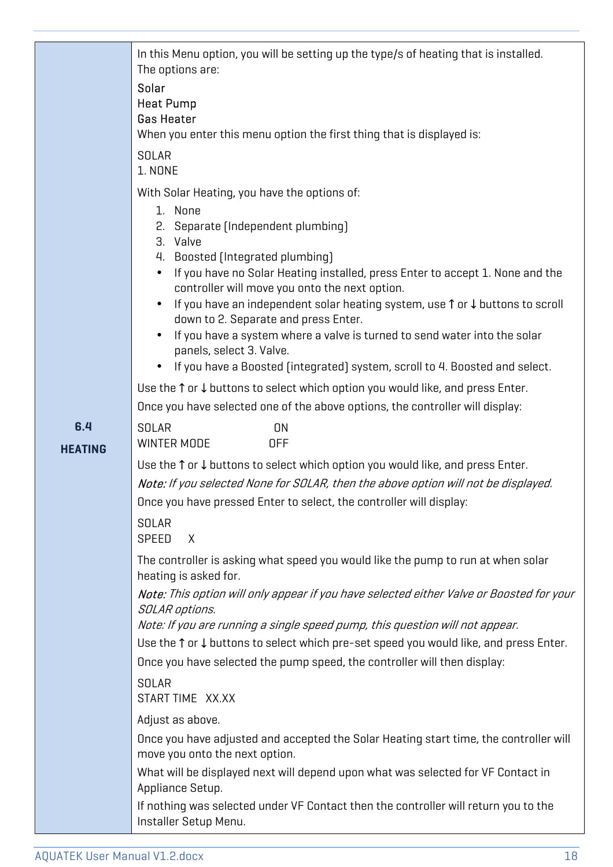|                | In this Menu option, you will be setting up the type/s of heating that is installed.<br>The options are:<br>Solar<br><b>Heat Pump</b><br><b>Gas Heater</b><br>When you enter this menu option the first thing that is displayed is:                                                                                                                                                                                                                                                                                                                                                                                                                                                                        |
|----------------|------------------------------------------------------------------------------------------------------------------------------------------------------------------------------------------------------------------------------------------------------------------------------------------------------------------------------------------------------------------------------------------------------------------------------------------------------------------------------------------------------------------------------------------------------------------------------------------------------------------------------------------------------------------------------------------------------------|
|                | <b>SOLAR</b><br>1. NONE                                                                                                                                                                                                                                                                                                                                                                                                                                                                                                                                                                                                                                                                                    |
|                | With Solar Heating, you have the options of:<br>1. None<br>2. Separate (Independent plumbing)<br>3. Valve<br>Boosted (Integrated plumbing)<br>4.<br>If you have no Solar Heating installed, press Enter to accept 1. None and the<br>controller will move you onto the next option.<br>If you have an independent solar heating system, use ↑ or ↓ buttons to scroll<br>down to 2. Separate and press Enter.<br>If you have a system where a valve is turned to send water into the solar<br>panels, select 3. Valve.<br>If you have a Boosted (integrated) system, scroll to 4. Boosted and select.<br>Use the $\uparrow$ or $\downarrow$ buttons to select which option you would like, and press Enter. |
| 6.4            | Once you have selected one of the above options, the controller will display:<br><b>SOLAR</b><br>ON                                                                                                                                                                                                                                                                                                                                                                                                                                                                                                                                                                                                        |
| <b>HEATING</b> | WINTER MODE<br><b>OFF</b><br>Use the $\uparrow$ or $\downarrow$ buttons to select which option you would like, and press Enter.<br>Note: If you selected None for SOLAR, then the above option will not be displayed.<br>Once you have pressed Enter to select, the controller will display:<br><b>SOLAR</b><br>SPEED<br>$\chi$                                                                                                                                                                                                                                                                                                                                                                            |
|                | The controller is asking what speed you would like the pump to run at when solar<br>heating is asked for.<br>Note: This option will only appear if you have selected either Valve or Boosted for your                                                                                                                                                                                                                                                                                                                                                                                                                                                                                                      |
|                | SOLAR options.<br>Note: If you are running a single speed pump, this question will not appear.<br>Use the ↑ or ↓ buttons to select which pre-set speed you would like, and press Enter.<br>Once you have selected the pump speed, the controller will then display:                                                                                                                                                                                                                                                                                                                                                                                                                                        |
|                | <b>SOLAR</b><br>START TIME XX.XX                                                                                                                                                                                                                                                                                                                                                                                                                                                                                                                                                                                                                                                                           |
|                | Adjust as above.<br>Once you have adjusted and accepted the Solar Heating start time, the controller will<br>move you onto the next option.<br>What will be displayed next will depend upon what was selected for VF Contact in<br>Appliance Setup.<br>If nothing was selected under VF Contact then the controller will return you to the                                                                                                                                                                                                                                                                                                                                                                 |
|                | Installer Setup Menu.                                                                                                                                                                                                                                                                                                                                                                                                                                                                                                                                                                                                                                                                                      |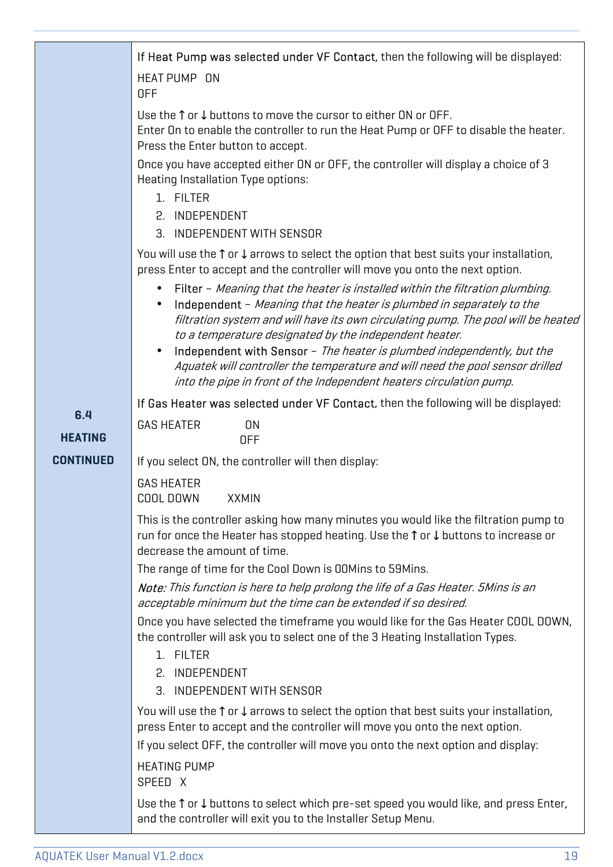|                  | If Heat Pump was selected under VF Contact, then the following will be displayed:                                                                                                                                                                                                                                  |  |  |  |  |
|------------------|--------------------------------------------------------------------------------------------------------------------------------------------------------------------------------------------------------------------------------------------------------------------------------------------------------------------|--|--|--|--|
|                  | HEAT PUMP ON<br><b>OFF</b>                                                                                                                                                                                                                                                                                         |  |  |  |  |
|                  | Use the $\uparrow$ or $\downarrow$ buttons to move the cursor to either ON or OFF.<br>Enter On to enable the controller to run the Heat Pump or OFF to disable the heater.<br>Press the Enter button to accept.                                                                                                    |  |  |  |  |
|                  | Once you have accepted either ON or OFF, the controller will display a choice of 3<br>Heating Installation Type options:<br>1. FILTER                                                                                                                                                                              |  |  |  |  |
|                  | 2. INDEPENDENT<br>3. INDEPENDENT WITH SENSOR                                                                                                                                                                                                                                                                       |  |  |  |  |
|                  | You will use the $\uparrow$ or $\downarrow$ arrows to select the option that best suits your installation,<br>press Enter to accept and the controller will move you onto the next option.                                                                                                                         |  |  |  |  |
|                  | Filter - Meaning that the heater is installed within the filtration plumbing.<br>$\bullet$<br>Independent - Meaning that the heater is plumbed in separately to the<br>filtration system and will have its own circulating pump. The pool will be heated<br>to a temperature designated by the independent heater. |  |  |  |  |
|                  | Independent with Sensor - The heater is plumbed independently, but the<br>Aquatek will controller the temperature and will need the pool sensor drilled<br>into the pipe in front of the Independent heaters circulation pump.                                                                                     |  |  |  |  |
| 6.4              | If Gas Heater was selected under VF Contact, then the following will be displayed:                                                                                                                                                                                                                                 |  |  |  |  |
| <b>HEATING</b>   | <b>GAS HEATER</b><br><b>ON</b><br><b>OFF</b>                                                                                                                                                                                                                                                                       |  |  |  |  |
| <b>CONTINUED</b> | If you select ON, the controller will then display:                                                                                                                                                                                                                                                                |  |  |  |  |
|                  | <b>GAS HEATER</b><br>COOL DOWN<br><b>XXMIN</b>                                                                                                                                                                                                                                                                     |  |  |  |  |
|                  | This is the controller asking how many minutes you would like the filtration pump to<br>run for once the Heater has stopped heating. Use the ↑ or ↓ buttons to increase or<br>decrease the amount of time.                                                                                                         |  |  |  |  |
|                  | The range of time for the Cool Down is OOMins to 59Mins.                                                                                                                                                                                                                                                           |  |  |  |  |
|                  | Note: This function is here to help prolong the life of a Gas Heater. 5Mins is an<br>acceptable minimum but the time can be extended if so desired.                                                                                                                                                                |  |  |  |  |
|                  | Once you have selected the timeframe you would like for the Gas Heater COOL DOWN,<br>the controller will ask you to select one of the 3 Heating Installation Types.<br>1. FILTER                                                                                                                                   |  |  |  |  |
|                  | 2. INDEPENDENT                                                                                                                                                                                                                                                                                                     |  |  |  |  |
|                  | 3. INDEPENDENT WITH SENSOR                                                                                                                                                                                                                                                                                         |  |  |  |  |
|                  | You will use the $\uparrow$ or $\downarrow$ arrows to select the option that best suits your installation,<br>press Enter to accept and the controller will move you onto the next option.                                                                                                                         |  |  |  |  |
|                  | If you select OFF, the controller will move you onto the next option and display:                                                                                                                                                                                                                                  |  |  |  |  |
|                  | <b>HEATING PUMP</b><br>SPEED X                                                                                                                                                                                                                                                                                     |  |  |  |  |
|                  | Use the $\uparrow$ or $\downarrow$ buttons to select which pre-set speed you would like, and press Enter,<br>and the controller will exit you to the Installer Setup Menu.                                                                                                                                         |  |  |  |  |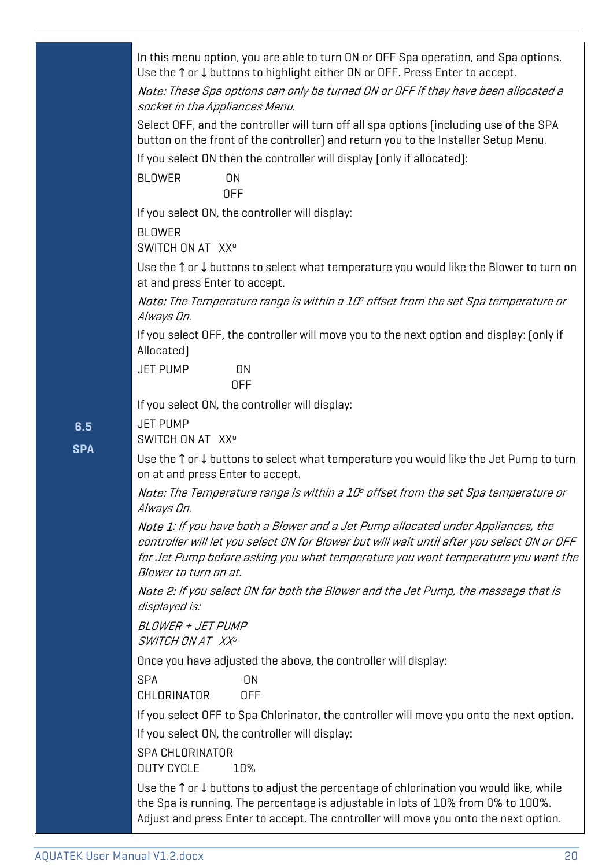In this menu option, you are able to turn ON or OFF Spa operation, and Spa options. Use the ↑ or ↓ buttons to highlight either ON or OFF. Press Enter to accept.

Note: These Spa options can only be turned ON or OFF if they have been allocated a socket in the Appliances Menu.

Select OFF, and the controller will turn off all spa options (including use of the SPA button on the front of the controller) and return you to the Installer Setup Menu.

If you select ON then the controller will display (only if allocated):

BLOWER ON OFF

If you select ON, the controller will display:

BLOWER

SWITCH ON AT XX<sup>o</sup>

Use the ↑ or ↓ buttons to select what temperature you would like the Blower to turn on at and press Enter to accept.

**Note:** The Temperature range is within a 10° offset from the set Spa temperature or Always On.

If you select OFF, the controller will move you to the next option and display: (only if Allocated)

JET PUMP ON OFF

If you select ON, the controller will display:

#### **6.5**  JET PUMP

**SPA**

SWITCH ON AT XX<sup>o</sup>

Use the ↑ or ↓ buttons to select what temperature you would like the Jet Pump to turn on at and press Enter to accept.

**Note:** The Temperature range is within a 10º offset from the set Spa temperature or Always On.

Note 1: If you have both a Blower and a Jet Pump allocated under Appliances, the controller will let you select ON for Blower but will wait until after you select ON or OFF for Jet Pump before asking you what temperature you want temperature you want the Blower to turn on at.

Note 2: If you select ON for both the Blower and the Jet Pump, the message that is displayed is:

BLOWER + JET PUMP SWITCH ON AT XX<sup>o</sup>

Once you have adjusted the above, the controller will display:

SPA ON CHLORINATOR OFF

If you select OFF to Spa Chlorinator, the controller will move you onto the next option. If you select ON, the controller will display:

SPA CHLORINATOR

DUTY CYCLE 10%

Use the ↑ or ↓ buttons to adjust the percentage of chlorination you would like, while the Spa is running. The percentage is adjustable in lots of 10% from 0% to 100%. Adjust and press Enter to accept. The controller will move you onto the next option.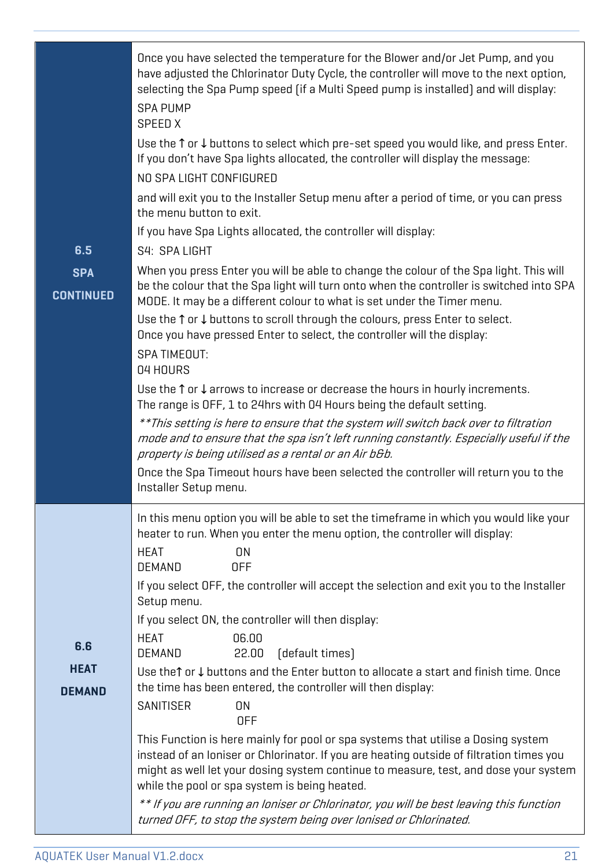|                                | Once you have selected the temperature for the Blower and/or Jet Pump, and you<br>have adjusted the Chlorinator Duty Cycle, the controller will move to the next option,<br>selecting the Spa Pump speed (if a Multi Speed pump is installed) and will display:<br><b>SPA PUMP</b><br>SPEED X                          |  |  |  |  |
|--------------------------------|------------------------------------------------------------------------------------------------------------------------------------------------------------------------------------------------------------------------------------------------------------------------------------------------------------------------|--|--|--|--|
|                                | Use the ↑ or ↓ buttons to select which pre-set speed you would like, and press Enter.<br>If you don't have Spa lights allocated, the controller will display the message:<br>NO SPA LIGHT CONFIGURED                                                                                                                   |  |  |  |  |
|                                | and will exit you to the Installer Setup menu after a period of time, or you can press<br>the menu button to exit.                                                                                                                                                                                                     |  |  |  |  |
|                                | If you have Spa Lights allocated, the controller will display:                                                                                                                                                                                                                                                         |  |  |  |  |
| 6.5                            | S4: SPA LIGHT                                                                                                                                                                                                                                                                                                          |  |  |  |  |
| <b>SPA</b><br><b>CONTINUED</b> | When you press Enter you will be able to change the colour of the Spa light. This will<br>be the colour that the Spa light will turn onto when the controller is switched into SPA<br>MODE. It may be a different colour to what is set under the Timer menu.                                                          |  |  |  |  |
|                                | Use the $\uparrow$ or $\downarrow$ buttons to scroll through the colours, press Enter to select.<br>Once you have pressed Enter to select, the controller will the display:                                                                                                                                            |  |  |  |  |
|                                | <b>SPA TIMEOUT:</b><br>04 HOURS                                                                                                                                                                                                                                                                                        |  |  |  |  |
|                                | Use the $\uparrow$ or $\downarrow$ arrows to increase or decrease the hours in hourly increments.<br>The range is OFF, 1 to 24hrs with 04 Hours being the default setting.                                                                                                                                             |  |  |  |  |
|                                | **This setting is here to ensure that the system will switch back over to filtration<br>mode and to ensure that the spa isn't left running constantly. Especially useful if the<br>property is being utilised as a rental or an Air b&b.                                                                               |  |  |  |  |
|                                | Once the Spa Timeout hours have been selected the controller will return you to the<br>Installer Setup menu.                                                                                                                                                                                                           |  |  |  |  |
|                                | In this menu option you will be able to set the timeframe in which you would like your<br>heater to run. When you enter the menu option, the controller will display:                                                                                                                                                  |  |  |  |  |
|                                | <b>HEAT</b><br>ON<br><b>DEMAND</b><br><b>OFF</b>                                                                                                                                                                                                                                                                       |  |  |  |  |
|                                | If you select OFF, the controller will accept the selection and exit you to the Installer<br>Setup menu.                                                                                                                                                                                                               |  |  |  |  |
|                                | If you select ON, the controller will then display:                                                                                                                                                                                                                                                                    |  |  |  |  |
| 6.6                            | <b>HEAT</b><br>06.00                                                                                                                                                                                                                                                                                                   |  |  |  |  |
| <b>HEAT</b>                    | 22.00<br>[default times]<br>DEMAND<br>Use the↑ or ↓ buttons and the Enter button to allocate a start and finish time. Once                                                                                                                                                                                             |  |  |  |  |
| <b>DEMAND</b>                  | the time has been entered, the controller will then display:                                                                                                                                                                                                                                                           |  |  |  |  |
|                                | SANITISER<br>ON<br><b>OFF</b>                                                                                                                                                                                                                                                                                          |  |  |  |  |
|                                | This Function is here mainly for pool or spa systems that utilise a Dosing system<br>instead of an Ioniser or Chlorinator. If you are heating outside of filtration times you<br>might as well let your dosing system continue to measure, test, and dose your system<br>while the pool or spa system is being heated. |  |  |  |  |
|                                | ** If you are running an loniser or Chlorinator, you will be best leaving this function<br>turned OFF, to stop the system being over lonised or Chlorinated.                                                                                                                                                           |  |  |  |  |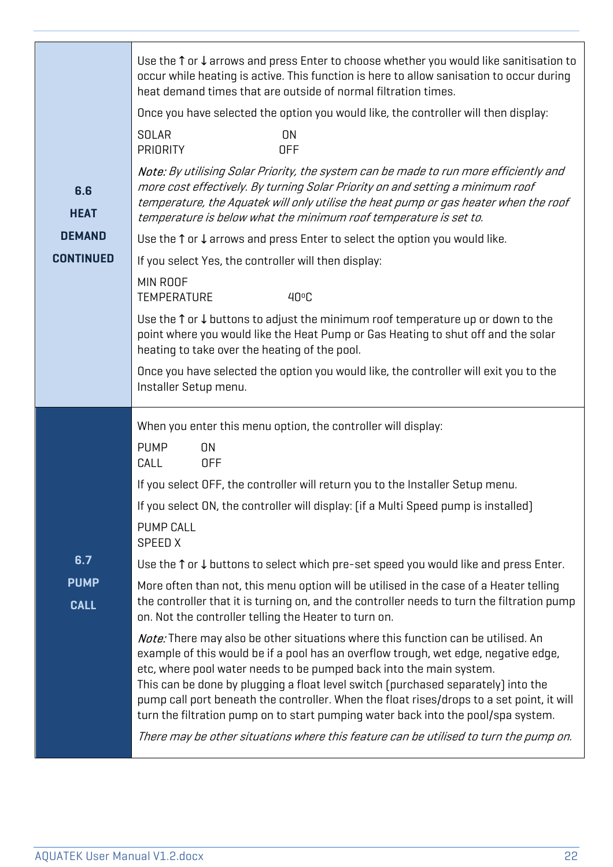|                            | Use the $\uparrow$ or $\downarrow$ arrows and press Enter to choose whether you would like sanitisation to<br>occur while heating is active. This function is here to allow sanisation to occur during<br>heat demand times that are outside of normal filtration times.                                                                                                                                                                                                                                                                                                                                              |  |  |  |  |
|----------------------------|-----------------------------------------------------------------------------------------------------------------------------------------------------------------------------------------------------------------------------------------------------------------------------------------------------------------------------------------------------------------------------------------------------------------------------------------------------------------------------------------------------------------------------------------------------------------------------------------------------------------------|--|--|--|--|
|                            | Once you have selected the option you would like, the controller will then display:                                                                                                                                                                                                                                                                                                                                                                                                                                                                                                                                   |  |  |  |  |
|                            | SOLAR<br><b>ON</b><br><b>PRIORITY</b><br><b>OFF</b>                                                                                                                                                                                                                                                                                                                                                                                                                                                                                                                                                                   |  |  |  |  |
| 6.6<br><b>HEAT</b>         | Note: By utilising Solar Priority, the system can be made to run more efficiently and<br>more cost effectively. By turning Solar Priority on and setting a minimum roof<br>temperature, the Aquatek will only utilise the heat pump or gas heater when the roof<br>temperature is below what the minimum roof temperature is set to.                                                                                                                                                                                                                                                                                  |  |  |  |  |
| <b>DEMAND</b>              | Use the $\uparrow$ or $\downarrow$ arrows and press Enter to select the option you would like.                                                                                                                                                                                                                                                                                                                                                                                                                                                                                                                        |  |  |  |  |
| <b>CONTINUED</b>           | If you select Yes, the controller will then display:                                                                                                                                                                                                                                                                                                                                                                                                                                                                                                                                                                  |  |  |  |  |
|                            | MIN ROOF<br><b>TEMPERATURE</b><br>40°C                                                                                                                                                                                                                                                                                                                                                                                                                                                                                                                                                                                |  |  |  |  |
|                            | Use the $\uparrow$ or $\downarrow$ buttons to adjust the minimum roof temperature up or down to the<br>point where you would like the Heat Pump or Gas Heating to shut off and the solar<br>heating to take over the heating of the pool.                                                                                                                                                                                                                                                                                                                                                                             |  |  |  |  |
|                            | Once you have selected the option you would like, the controller will exit you to the<br>Installer Setup menu.                                                                                                                                                                                                                                                                                                                                                                                                                                                                                                        |  |  |  |  |
|                            | When you enter this menu option, the controller will display:                                                                                                                                                                                                                                                                                                                                                                                                                                                                                                                                                         |  |  |  |  |
|                            | <b>PUMP</b><br>ON                                                                                                                                                                                                                                                                                                                                                                                                                                                                                                                                                                                                     |  |  |  |  |
|                            | CALL<br><b>OFF</b>                                                                                                                                                                                                                                                                                                                                                                                                                                                                                                                                                                                                    |  |  |  |  |
|                            | If you select OFF, the controller will return you to the Installer Setup menu.                                                                                                                                                                                                                                                                                                                                                                                                                                                                                                                                        |  |  |  |  |
|                            | If you select ON, the controller will display: (if a Multi Speed pump is installed)                                                                                                                                                                                                                                                                                                                                                                                                                                                                                                                                   |  |  |  |  |
|                            | <b>PUMP CALL</b><br>SPEED X                                                                                                                                                                                                                                                                                                                                                                                                                                                                                                                                                                                           |  |  |  |  |
| 6.7                        | Use the $\uparrow$ or $\downarrow$ buttons to select which pre-set speed you would like and press Enter.                                                                                                                                                                                                                                                                                                                                                                                                                                                                                                              |  |  |  |  |
| <b>PUMP</b><br><b>CALL</b> | More often than not, this menu option will be utilised in the case of a Heater telling<br>the controller that it is turning on, and the controller needs to turn the filtration pump<br>on. Not the controller telling the Heater to turn on.                                                                                                                                                                                                                                                                                                                                                                         |  |  |  |  |
|                            | <b>Note:</b> There may also be other situations where this function can be utilised. An<br>example of this would be if a pool has an overflow trough, wet edge, negative edge,<br>etc, where pool water needs to be pumped back into the main system.<br>This can be done by plugging a float level switch (purchased separately) into the<br>pump call port beneath the controller. When the float rises/drops to a set point, it will<br>turn the filtration pump on to start pumping water back into the pool/spa system.<br>There may be other situations where this feature can be utilised to turn the pump on. |  |  |  |  |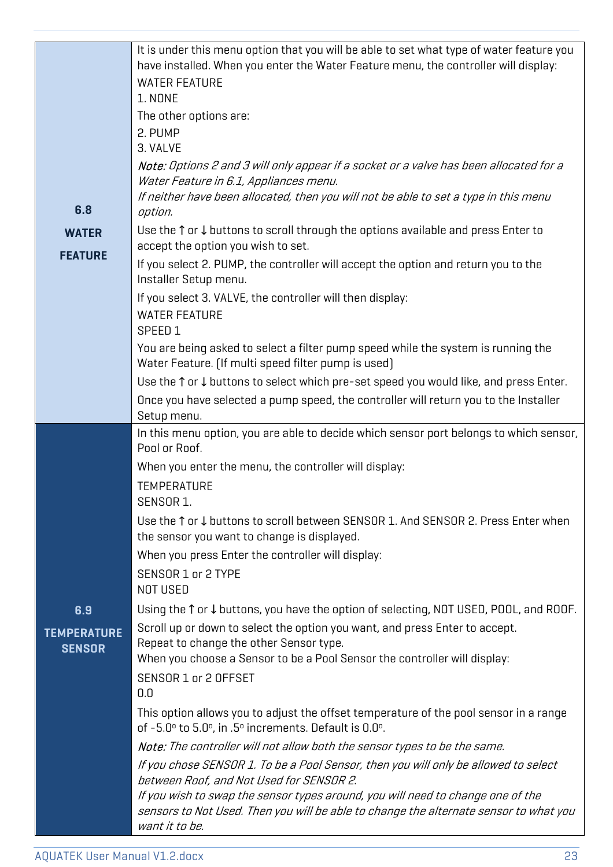|                                     | It is under this menu option that you will be able to set what type of water feature you<br>have installed. When you enter the Water Feature menu, the controller will display:<br><b>WATER FEATURE</b><br>1. NONE<br>The other options are:<br>2. PUMP |  |  |
|-------------------------------------|---------------------------------------------------------------------------------------------------------------------------------------------------------------------------------------------------------------------------------------------------------|--|--|
|                                     | 3. VALVE<br>Note: Options 2 and 3 will only appear if a socket or a valve has been allocated for a                                                                                                                                                      |  |  |
|                                     | Water Feature in 6.1, Appliances menu.                                                                                                                                                                                                                  |  |  |
|                                     | If neither have been allocated, then you will not be able to set a type in this menu                                                                                                                                                                    |  |  |
| 6.8                                 | option.<br>Use the $\uparrow$ or $\downarrow$ buttons to scroll through the options available and press Enter to                                                                                                                                        |  |  |
| <b>WATER</b>                        | accept the option you wish to set.                                                                                                                                                                                                                      |  |  |
| <b>FEATURE</b>                      | If you select 2. PUMP, the controller will accept the option and return you to the<br>Installer Setup menu.                                                                                                                                             |  |  |
|                                     | If you select 3. VALVE, the controller will then display:                                                                                                                                                                                               |  |  |
|                                     | <b>WATER FEATURE</b>                                                                                                                                                                                                                                    |  |  |
|                                     | SPEED 1<br>You are being asked to select a filter pump speed while the system is running the                                                                                                                                                            |  |  |
|                                     | Water Feature. (If multi speed filter pump is used)                                                                                                                                                                                                     |  |  |
|                                     | Use the $\uparrow$ or $\downarrow$ buttons to select which pre-set speed you would like, and press Enter.                                                                                                                                               |  |  |
|                                     | Once you have selected a pump speed, the controller will return you to the Installer<br>Setup menu.                                                                                                                                                     |  |  |
|                                     | In this menu option, you are able to decide which sensor port belongs to which sensor,                                                                                                                                                                  |  |  |
|                                     | Pool or Roof.                                                                                                                                                                                                                                           |  |  |
|                                     | When you enter the menu, the controller will display:                                                                                                                                                                                                   |  |  |
|                                     | <b>TEMPERATURE</b><br>SENSOR 1.                                                                                                                                                                                                                         |  |  |
|                                     | Use the ↑ or ↓ buttons to scroll between SENSOR 1. And SENSOR 2. Press Enter when<br>the sensor you want to change is displayed.                                                                                                                        |  |  |
|                                     | When you press Enter the controller will display:                                                                                                                                                                                                       |  |  |
|                                     | SENSOR 1 or 2 TYPE<br>NOT USED                                                                                                                                                                                                                          |  |  |
| 6.9                                 | Using the $\uparrow$ or $\downarrow$ buttons, you have the option of selecting, NOT USED, POOL, and ROOF.                                                                                                                                               |  |  |
| <b>TEMPERATURE</b><br><b>SENSOR</b> | Scroll up or down to select the option you want, and press Enter to accept.<br>Repeat to change the other Sensor type.<br>When you choose a Sensor to be a Pool Sensor the controller will display:                                                     |  |  |
|                                     | SENSOR 1 or 2 OFFSET<br>0.0                                                                                                                                                                                                                             |  |  |
|                                     | This option allows you to adjust the offset temperature of the pool sensor in a range<br>of -5.0° to 5.0°, in .5° increments. Default is 0.0°.                                                                                                          |  |  |
|                                     | Note: The controller will not allow both the sensor types to be the same.                                                                                                                                                                               |  |  |
|                                     | If you chose SENSOR 1. To be a Pool Sensor, then you will only be allowed to select                                                                                                                                                                     |  |  |
|                                     | between Roof, and Not Used for SENSOR 2.<br>If you wish to swap the sensor types around, you will need to change one of the                                                                                                                             |  |  |
|                                     | sensors to Not Used. Then you will be able to change the alternate sensor to what you<br>want it to be.                                                                                                                                                 |  |  |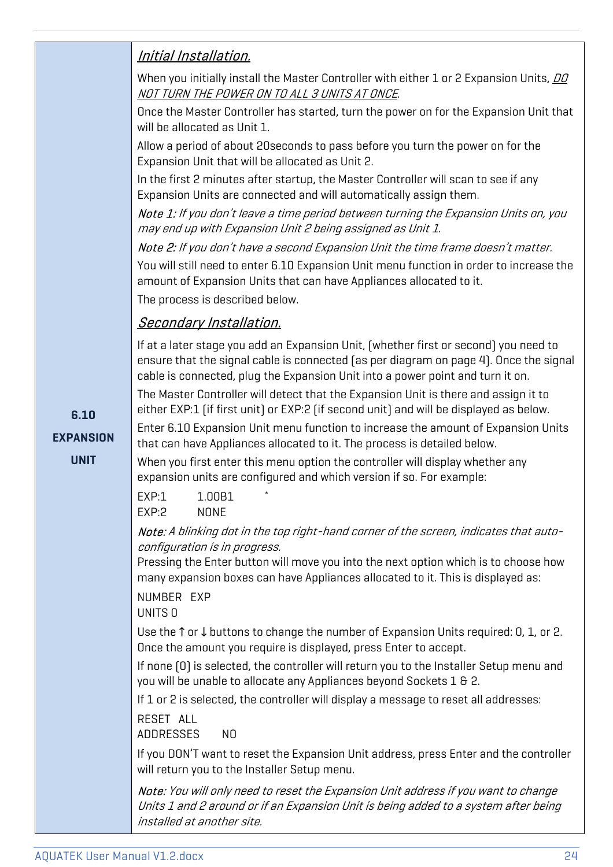|                  | <u>Initial Installation.</u>                                                                                                                                                                            |  |  |  |  |
|------------------|---------------------------------------------------------------------------------------------------------------------------------------------------------------------------------------------------------|--|--|--|--|
|                  | When you initially install the Master Controller with either 1 or 2 Expansion Units, DO<br><u>NOT TURN THE POWER ON TO ALL 3 UNITS AT ONCE</u> .                                                        |  |  |  |  |
|                  | Once the Master Controller has started, turn the power on for the Expansion Unit that<br>will be allocated as Unit 1.                                                                                   |  |  |  |  |
|                  | Allow a period of about 20 seconds to pass before you turn the power on for the<br>Expansion Unit that will be allocated as Unit 2.                                                                     |  |  |  |  |
|                  | In the first 2 minutes after startup, the Master Controller will scan to see if any<br>Expansion Units are connected and will automatically assign them.                                                |  |  |  |  |
|                  | Note 1: If you don't leave a time period between turning the Expansion Units on, you<br>may end up with Expansion Unit 2 being assigned as Unit 1.                                                      |  |  |  |  |
|                  | Note 2: If you don't have a second Expansion Unit the time frame doesn't matter.                                                                                                                        |  |  |  |  |
|                  | You will still need to enter 6.10 Expansion Unit menu function in order to increase the<br>amount of Expansion Units that can have Appliances allocated to it.                                          |  |  |  |  |
|                  | The process is described below.                                                                                                                                                                         |  |  |  |  |
|                  | <b>Secondary Installation.</b>                                                                                                                                                                          |  |  |  |  |
|                  | If at a later stage you add an Expansion Unit, (whether first or second) you need to<br>ensure that the signal cable is connected (as per diagram on page 4). Once the signal                           |  |  |  |  |
|                  | cable is connected, plug the Expansion Unit into a power point and turn it on.                                                                                                                          |  |  |  |  |
|                  | The Master Controller will detect that the Expansion Unit is there and assign it to                                                                                                                     |  |  |  |  |
| 6.10             | either EXP:1 (if first unit) or EXP:2 (if second unit) and will be displayed as below.                                                                                                                  |  |  |  |  |
| <b>EXPANSION</b> | Enter 6.10 Expansion Unit menu function to increase the amount of Expansion Units<br>that can have Appliances allocated to it. The process is detailed below.                                           |  |  |  |  |
| <b>UNIT</b>      | When you first enter this menu option the controller will display whether any<br>expansion units are configured and which version if so. For example:                                                   |  |  |  |  |
|                  | EXP:1<br>1.00B1<br>EXP:2<br><b>NONE</b>                                                                                                                                                                 |  |  |  |  |
|                  | Note: A blinking dot in the top right-hand corner of the screen, indicates that auto-<br>configuration is in progress.                                                                                  |  |  |  |  |
|                  | Pressing the Enter button will move you into the next option which is to choose how<br>many expansion boxes can have Appliances allocated to it. This is displayed as:                                  |  |  |  |  |
|                  | NUMBER EXP<br>UNITS 0                                                                                                                                                                                   |  |  |  |  |
|                  | Use the $\uparrow$ or $\downarrow$ buttons to change the number of Expansion Units required: 0, 1, or 2.<br>Once the amount you require is displayed, press Enter to accept.                            |  |  |  |  |
|                  | If none [0] is selected, the controller will return you to the Installer Setup menu and<br>you will be unable to allocate any Appliances beyond Sockets 1 & 2.                                          |  |  |  |  |
|                  | If 1 or 2 is selected, the controller will display a message to reset all addresses:                                                                                                                    |  |  |  |  |
|                  | RESET ALL<br><b>ADDRESSES</b><br>N <sub>0</sub>                                                                                                                                                         |  |  |  |  |
|                  | If you DON'T want to reset the Expansion Unit address, press Enter and the controller<br>will return you to the Installer Setup menu.                                                                   |  |  |  |  |
|                  | Note: You will only need to reset the Expansion Unit address if you want to change<br>Units 1 and 2 around or if an Expansion Unit is being added to a system after being<br>installed at another site. |  |  |  |  |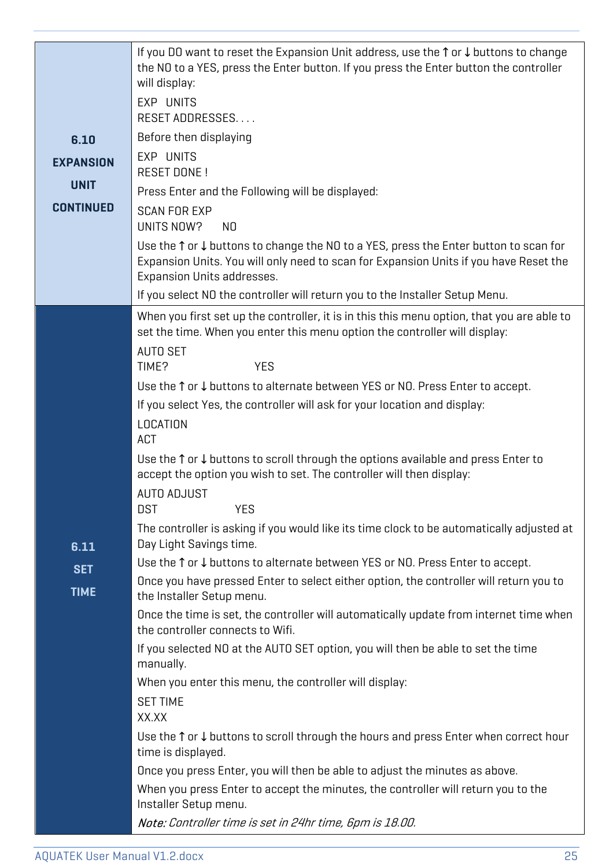|                           | If you DO want to reset the Expansion Unit address, use the ↑ or ↓ buttons to change<br>the NO to a YES, press the Enter button. If you press the Enter button the controller<br>will display:<br>EXP UNITS<br>RESET ADDRESSES  |  |  |  |
|---------------------------|---------------------------------------------------------------------------------------------------------------------------------------------------------------------------------------------------------------------------------|--|--|--|
| 6.10                      | Before then displaying                                                                                                                                                                                                          |  |  |  |
| <b>EXPANSION</b>          | EXP UNITS<br><b>RESET DONE!</b>                                                                                                                                                                                                 |  |  |  |
| <b>UNIT</b>               | Press Enter and the Following will be displayed:                                                                                                                                                                                |  |  |  |
| <b>CONTINUED</b>          | <b>SCAN FOR EXP</b><br>UNITS NOW?<br>NO                                                                                                                                                                                         |  |  |  |
|                           | Use the $\uparrow$ or $\downarrow$ buttons to change the NO to a YES, press the Enter button to scan for<br>Expansion Units. You will only need to scan for Expansion Units if you have Reset the<br>Expansion Units addresses. |  |  |  |
|                           | If you select NO the controller will return you to the Installer Setup Menu.                                                                                                                                                    |  |  |  |
|                           | When you first set up the controller, it is in this this menu option, that you are able to<br>set the time. When you enter this menu option the controller will display:<br><b>AUTO SET</b><br>TIME?<br><b>YES</b>              |  |  |  |
|                           | Use the ↑ or ↓ buttons to alternate between YES or NO. Press Enter to accept.                                                                                                                                                   |  |  |  |
|                           | If you select Yes, the controller will ask for your location and display:                                                                                                                                                       |  |  |  |
|                           | LOCATION<br>ACT                                                                                                                                                                                                                 |  |  |  |
|                           | Use the $\uparrow$ or $\downarrow$ buttons to scroll through the options available and press Enter to<br>accept the option you wish to set. The controller will then display:<br><b>AUTO ADJUST</b><br><b>DST</b><br><b>YES</b> |  |  |  |
|                           | The controller is asking if you would like its time clock to be automatically adjusted at<br>Day Light Savings time.                                                                                                            |  |  |  |
| 6.11                      | Use the ↑ or ↓ buttons to alternate between YES or NO. Press Enter to accept.                                                                                                                                                   |  |  |  |
| <b>SET</b><br><b>TIME</b> | Once you have pressed Enter to select either option, the controller will return you to<br>the Installer Setup menu.                                                                                                             |  |  |  |
|                           | Once the time is set, the controller will automatically update from internet time when<br>the controller connects to Wifi.                                                                                                      |  |  |  |
|                           | If you selected NO at the AUTO SET option, you will then be able to set the time<br>manually.                                                                                                                                   |  |  |  |
|                           | When you enter this menu, the controller will display:                                                                                                                                                                          |  |  |  |
|                           | <b>SET TIME</b><br>XX.XX                                                                                                                                                                                                        |  |  |  |
|                           | Use the $\uparrow$ or $\downarrow$ buttons to scroll through the hours and press Enter when correct hour<br>time is displayed.                                                                                                  |  |  |  |
|                           | Once you press Enter, you will then be able to adjust the minutes as above.                                                                                                                                                     |  |  |  |
|                           | When you press Enter to accept the minutes, the controller will return you to the<br>Installer Setup menu.                                                                                                                      |  |  |  |
|                           | Note: Controller time is set in 24hr time, 6pm is 18.00.                                                                                                                                                                        |  |  |  |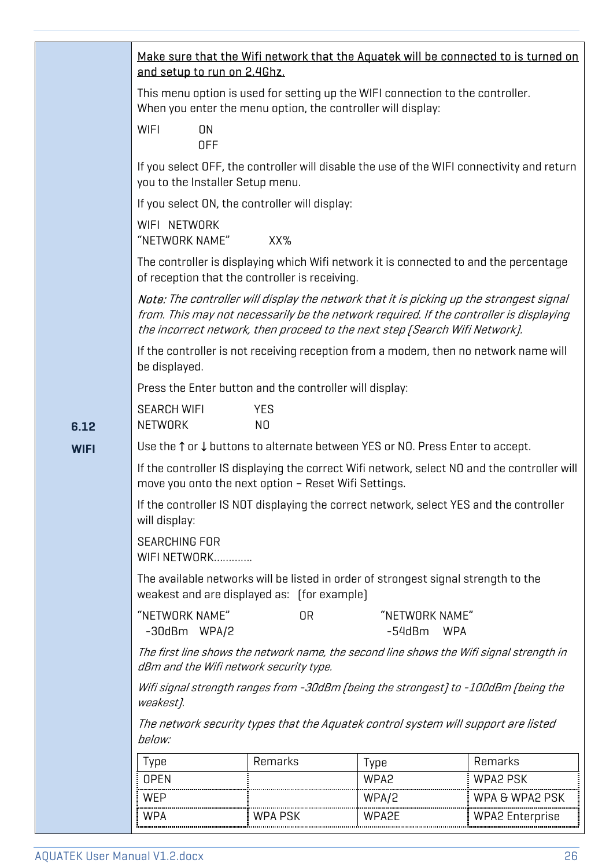|                                      | and setup to run on 2.4Ghz.                                                                                                                         |                                                                                                                                                                                                                                                                    |                            | Make sure that the Wifi network that the Aquatek will be connected to is turned on         |  |
|--------------------------------------|-----------------------------------------------------------------------------------------------------------------------------------------------------|--------------------------------------------------------------------------------------------------------------------------------------------------------------------------------------------------------------------------------------------------------------------|----------------------------|--------------------------------------------------------------------------------------------|--|
|                                      | This menu option is used for setting up the WIFI connection to the controller.<br>When you enter the menu option, the controller will display:      |                                                                                                                                                                                                                                                                    |                            |                                                                                            |  |
|                                      | <b>WIFI</b><br>ON<br><b>OFF</b>                                                                                                                     |                                                                                                                                                                                                                                                                    |                            |                                                                                            |  |
|                                      | you to the Installer Setup menu.                                                                                                                    |                                                                                                                                                                                                                                                                    |                            | If you select OFF, the controller will disable the use of the WIFI connectivity and return |  |
|                                      | If you select ON, the controller will display:                                                                                                      |                                                                                                                                                                                                                                                                    |                            |                                                                                            |  |
|                                      | WIFI NETWORK<br>"NETWORK NAME"<br>XX%                                                                                                               |                                                                                                                                                                                                                                                                    |                            |                                                                                            |  |
|                                      | The controller is displaying which Wifi network it is connected to and the percentage<br>of reception that the controller is receiving.             |                                                                                                                                                                                                                                                                    |                            |                                                                                            |  |
|                                      |                                                                                                                                                     | Note: The controller will display the network that it is picking up the strongest signal<br>from. This may not necessarily be the network required. If the controller is displaying<br>the incorrect network, then proceed to the next step [Search Wifi Network]. |                            |                                                                                            |  |
|                                      | If the controller is not receiving reception from a modem, then no network name will<br>be displayed.                                               |                                                                                                                                                                                                                                                                    |                            |                                                                                            |  |
|                                      | Press the Enter button and the controller will display:                                                                                             |                                                                                                                                                                                                                                                                    |                            |                                                                                            |  |
| 6.12                                 | <b>SEARCH WIFI</b><br><b>YES</b><br>NETWORK<br>N <sub>0</sub>                                                                                       |                                                                                                                                                                                                                                                                    |                            |                                                                                            |  |
| <b>WIFI</b>                          | Use the ↑ or ↓ buttons to alternate between YES or NO. Press Enter to accept.                                                                       |                                                                                                                                                                                                                                                                    |                            |                                                                                            |  |
|                                      | If the controller IS displaying the correct Wifi network, select NO and the controller will<br>move you onto the next option - Reset Wifi Settings. |                                                                                                                                                                                                                                                                    |                            |                                                                                            |  |
|                                      | If the controller IS NOT displaying the correct network, select YES and the controller<br>will display:                                             |                                                                                                                                                                                                                                                                    |                            |                                                                                            |  |
| <b>SEARCHING FOR</b><br>WIFI NETWORK |                                                                                                                                                     |                                                                                                                                                                                                                                                                    |                            |                                                                                            |  |
|                                      | The available networks will be listed in order of strongest signal strength to the<br>weakest and are displayed as: [for example]                   |                                                                                                                                                                                                                                                                    |                            |                                                                                            |  |
|                                      | "NETWORK NAME"<br>-30dBm WPA/2                                                                                                                      | 0R                                                                                                                                                                                                                                                                 | "NETWORK NAME"<br>$-54dBm$ | <b>WPA</b>                                                                                 |  |
|                                      | The first line shows the network name, the second line shows the Wifi signal strength in<br>dBm and the Wifi network security type.                 |                                                                                                                                                                                                                                                                    |                            |                                                                                            |  |
|                                      | Wifi signal strength ranges from -30dBm (being the strongest) to -100dBm (being the<br>weakest).                                                    |                                                                                                                                                                                                                                                                    |                            |                                                                                            |  |
|                                      | The network security types that the Aquatek control system will support are listed<br>below:                                                        |                                                                                                                                                                                                                                                                    |                            |                                                                                            |  |
|                                      | Type                                                                                                                                                | Remarks                                                                                                                                                                                                                                                            | Type                       | Remarks                                                                                    |  |
|                                      | <b>OPEN</b>                                                                                                                                         |                                                                                                                                                                                                                                                                    | WPA2                       | <b>WPA2 PSK</b>                                                                            |  |
|                                      | WEP                                                                                                                                                 |                                                                                                                                                                                                                                                                    | WPA/2                      | WPA & WPA2 PSK                                                                             |  |
|                                      | <b>WPA</b>                                                                                                                                          | <b>WPA PSK</b>                                                                                                                                                                                                                                                     | WPA2E                      | <b>WPA2 Enterprise</b>                                                                     |  |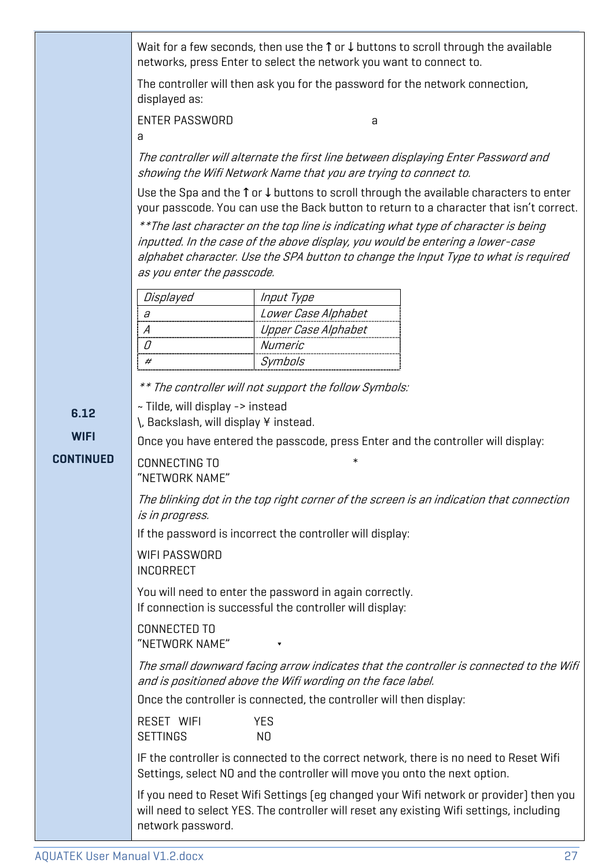Wait for a few seconds, then use the ↑ or ↓ buttons to scroll through the available networks, press Enter to select the network you want to connect to.

The controller will then ask you for the password for the network connection, displayed as:

ENTER PASSWORD **a** and a set of the set of the set of the set of the set of the set of the set of the set of the set of the set of the set of the set of the set of the set of the set of the set of the set of the set of the

a

The controller will alternate the first line between displaying Enter Password and showing the Wifi Network Name that you are trying to connect to.

Use the Spa and the ↑ or ↓ buttons to scroll through the available characters to enter your passcode. You can use the Back button to return to a character that isn't correct.

\*\*The last character on the top line is indicating what type of character is being inputted. In the case of the above display, you would be entering a lower-case alphabet character. Use the SPA button to change the Input Type to what is required as you enter the passcode.

| Displayed | Input Type          |
|-----------|---------------------|
|           | Lower Case Alphabet |
|           | Upper Case Alphabet |
|           | Numeric             |
|           | Symbols             |

\*\* The controller will not support the follow Symbols:

~ Tilde, will display -> instead

**6.12**  \, Backslash, will display ¥ instead.

**WIFI** 

**CONTINUED**  Once you have entered the passcode, press Enter and the controller will display:

CONNECTING TO "NETWORK NAME"

The blinking dot in the top right corner of the screen is an indication that connection is in progress.

If the password is incorrect the controller will display:

WIFI PASSWORD INCORRECT

You will need to enter the password in again correctly. If connection is successful the controller will display:

CONNECTED TO "NETWORK NAME" π

The small downward facing arrow indicates that the controller is connected to the Wifi and is positioned above the Wifi wording on the face label.

Once the controller is connected, the controller will then display:

RESET WIFI YES SETTINGS NO

IF the controller is connected to the correct network, there is no need to Reset Wifi Settings, select NO and the controller will move you onto the next option.

If you need to Reset Wifi Settings (eg changed your Wifi network or provider) then you will need to select YES. The controller will reset any existing Wifi settings, including network password.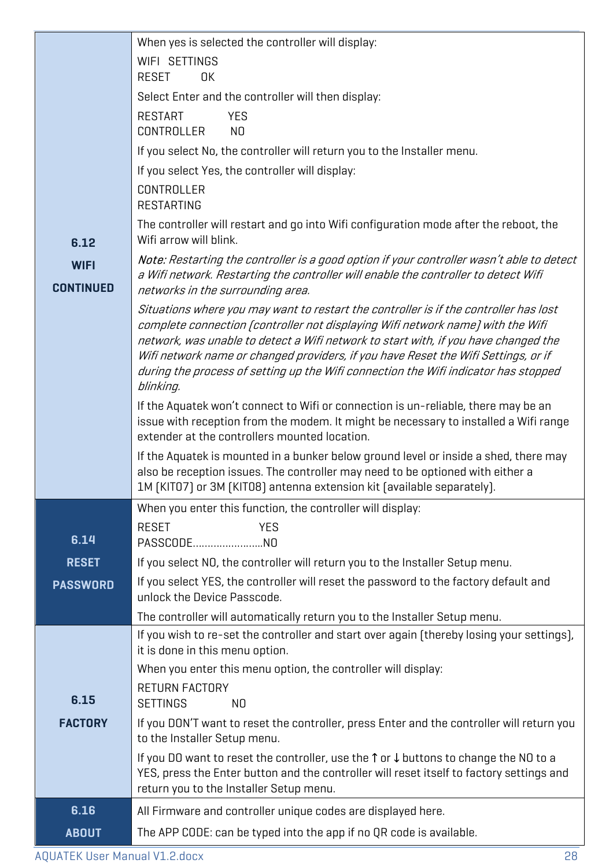|                                                                                                                                                                                                      | When yes is selected the controller will display:                                                                                                                         |  |  |  |
|------------------------------------------------------------------------------------------------------------------------------------------------------------------------------------------------------|---------------------------------------------------------------------------------------------------------------------------------------------------------------------------|--|--|--|
|                                                                                                                                                                                                      | WIFI SETTINGS                                                                                                                                                             |  |  |  |
|                                                                                                                                                                                                      | <b>RESET</b><br>0K                                                                                                                                                        |  |  |  |
|                                                                                                                                                                                                      | Select Enter and the controller will then display:                                                                                                                        |  |  |  |
|                                                                                                                                                                                                      | <b>RESTART</b><br><b>YES</b>                                                                                                                                              |  |  |  |
|                                                                                                                                                                                                      | CONTROLLER<br>N <sub>O</sub>                                                                                                                                              |  |  |  |
|                                                                                                                                                                                                      | If you select No, the controller will return you to the Installer menu.                                                                                                   |  |  |  |
|                                                                                                                                                                                                      | If you select Yes, the controller will display:                                                                                                                           |  |  |  |
|                                                                                                                                                                                                      | CONTROLLER                                                                                                                                                                |  |  |  |
|                                                                                                                                                                                                      | <b>RESTARTING</b>                                                                                                                                                         |  |  |  |
|                                                                                                                                                                                                      | The controller will restart and go into Wifi configuration mode after the reboot, the                                                                                     |  |  |  |
| 6.12                                                                                                                                                                                                 | Wifi arrow will blink.                                                                                                                                                    |  |  |  |
| <b>WIFI</b>                                                                                                                                                                                          | Note: Restarting the controller is a good option if your controller wasn't able to detect                                                                                 |  |  |  |
| <b>CONTINUED</b>                                                                                                                                                                                     | a Wifi network. Restarting the controller will enable the controller to detect Wifi<br>networks in the surrounding area.                                                  |  |  |  |
|                                                                                                                                                                                                      | Situations where you may want to restart the controller is if the controller has lost                                                                                     |  |  |  |
|                                                                                                                                                                                                      | complete connection [controller not displaying Wifi network name] with the Wifi                                                                                           |  |  |  |
|                                                                                                                                                                                                      | network, was unable to detect a Wifi network to start with, if you have changed the<br>Wifi network name or changed providers, if you have Reset the Wifi Settings, or if |  |  |  |
|                                                                                                                                                                                                      | during the process of setting up the Wifi connection the Wifi indicator has stopped                                                                                       |  |  |  |
|                                                                                                                                                                                                      | blinking.                                                                                                                                                                 |  |  |  |
|                                                                                                                                                                                                      | If the Aquatek won't connect to Wifi or connection is un-reliable, there may be an                                                                                        |  |  |  |
|                                                                                                                                                                                                      | issue with reception from the modem. It might be necessary to installed a Wifi range<br>extender at the controllers mounted location.                                     |  |  |  |
|                                                                                                                                                                                                      | If the Aquatek is mounted in a bunker below ground level or inside a shed, there may                                                                                      |  |  |  |
|                                                                                                                                                                                                      | also be reception issues. The controller may need to be optioned with either a                                                                                            |  |  |  |
|                                                                                                                                                                                                      | 1M (KITO7) or 3M (KITO8) antenna extension kit (available separately).                                                                                                    |  |  |  |
|                                                                                                                                                                                                      | When you enter this function, the controller will display:                                                                                                                |  |  |  |
|                                                                                                                                                                                                      | <b>RESET</b><br><b>YES</b>                                                                                                                                                |  |  |  |
| 6.14                                                                                                                                                                                                 | PASSCODENO                                                                                                                                                                |  |  |  |
| <b>RESET</b>                                                                                                                                                                                         | If you select NO, the controller will return you to the Installer Setup menu.                                                                                             |  |  |  |
| <b>PASSWORD</b>                                                                                                                                                                                      | If you select YES, the controller will reset the password to the factory default and<br>unlock the Device Passcode.                                                       |  |  |  |
|                                                                                                                                                                                                      |                                                                                                                                                                           |  |  |  |
|                                                                                                                                                                                                      | The controller will automatically return you to the Installer Setup menu.<br>If you wish to re-set the controller and start over again (thereby losing your settings),    |  |  |  |
|                                                                                                                                                                                                      | it is done in this menu option.                                                                                                                                           |  |  |  |
|                                                                                                                                                                                                      | When you enter this menu option, the controller will display:                                                                                                             |  |  |  |
|                                                                                                                                                                                                      | <b>RETURN FACTORY</b>                                                                                                                                                     |  |  |  |
| 6.15                                                                                                                                                                                                 | <b>SETTINGS</b><br>N <sub>0</sub>                                                                                                                                         |  |  |  |
| <b>FACTORY</b>                                                                                                                                                                                       | If you DON'T want to reset the controller, press Enter and the controller will return you                                                                                 |  |  |  |
| to the Installer Setup menu.                                                                                                                                                                         |                                                                                                                                                                           |  |  |  |
| If you DO want to reset the controller, use the $\uparrow$ or $\downarrow$ buttons to change the NO to a<br>YES, press the Enter button and the controller will reset itself to factory settings and |                                                                                                                                                                           |  |  |  |
|                                                                                                                                                                                                      | return you to the Installer Setup menu.                                                                                                                                   |  |  |  |
| 6.16                                                                                                                                                                                                 | All Firmware and controller unique codes are displayed here.                                                                                                              |  |  |  |
| <b>ABOUT</b>                                                                                                                                                                                         | The APP CODE: can be typed into the app if no QR code is available.                                                                                                       |  |  |  |
|                                                                                                                                                                                                      |                                                                                                                                                                           |  |  |  |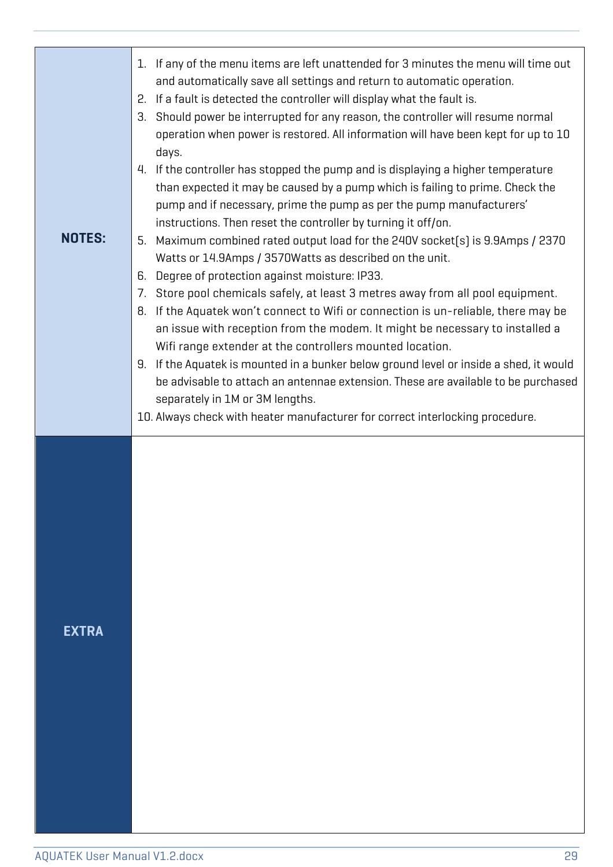| <b>NOTES:</b> | 1. If any of the menu items are left unattended for 3 minutes the menu will time out<br>and automatically save all settings and return to automatic operation.<br>If a fault is detected the controller will display what the fault is.<br>2.<br>Should power be interrupted for any reason, the controller will resume normal<br>З.<br>operation when power is restored. All information will have been kept for up to 10<br>days.<br>4. If the controller has stopped the pump and is displaying a higher temperature<br>than expected it may be caused by a pump which is failing to prime. Check the<br>pump and if necessary, prime the pump as per the pump manufacturers'<br>instructions. Then reset the controller by turning it off/on.<br>Maximum combined rated output load for the 240V socket(s) is 9.9Amps / 2370<br>5.<br>Watts or 14.9Amps / 3570Watts as described on the unit.<br>Degree of protection against moisture: IP33.<br>6.<br>Store pool chemicals safely, at least 3 metres away from all pool equipment.<br>7.<br>If the Aquatek won't connect to Wifi or connection is un-reliable, there may be<br>8.<br>an issue with reception from the modem. It might be necessary to installed a<br>Wifi range extender at the controllers mounted location.<br>If the Aquatek is mounted in a bunker below ground level or inside a shed, it would<br>9.<br>be advisable to attach an antennae extension. These are available to be purchased<br>separately in 1M or 3M lengths.<br>10. Always check with heater manufacturer for correct interlocking procedure. |
|---------------|------------------------------------------------------------------------------------------------------------------------------------------------------------------------------------------------------------------------------------------------------------------------------------------------------------------------------------------------------------------------------------------------------------------------------------------------------------------------------------------------------------------------------------------------------------------------------------------------------------------------------------------------------------------------------------------------------------------------------------------------------------------------------------------------------------------------------------------------------------------------------------------------------------------------------------------------------------------------------------------------------------------------------------------------------------------------------------------------------------------------------------------------------------------------------------------------------------------------------------------------------------------------------------------------------------------------------------------------------------------------------------------------------------------------------------------------------------------------------------------------------------------------------------------------------------------------------------------|
| <b>EXTRA</b>  |                                                                                                                                                                                                                                                                                                                                                                                                                                                                                                                                                                                                                                                                                                                                                                                                                                                                                                                                                                                                                                                                                                                                                                                                                                                                                                                                                                                                                                                                                                                                                                                          |